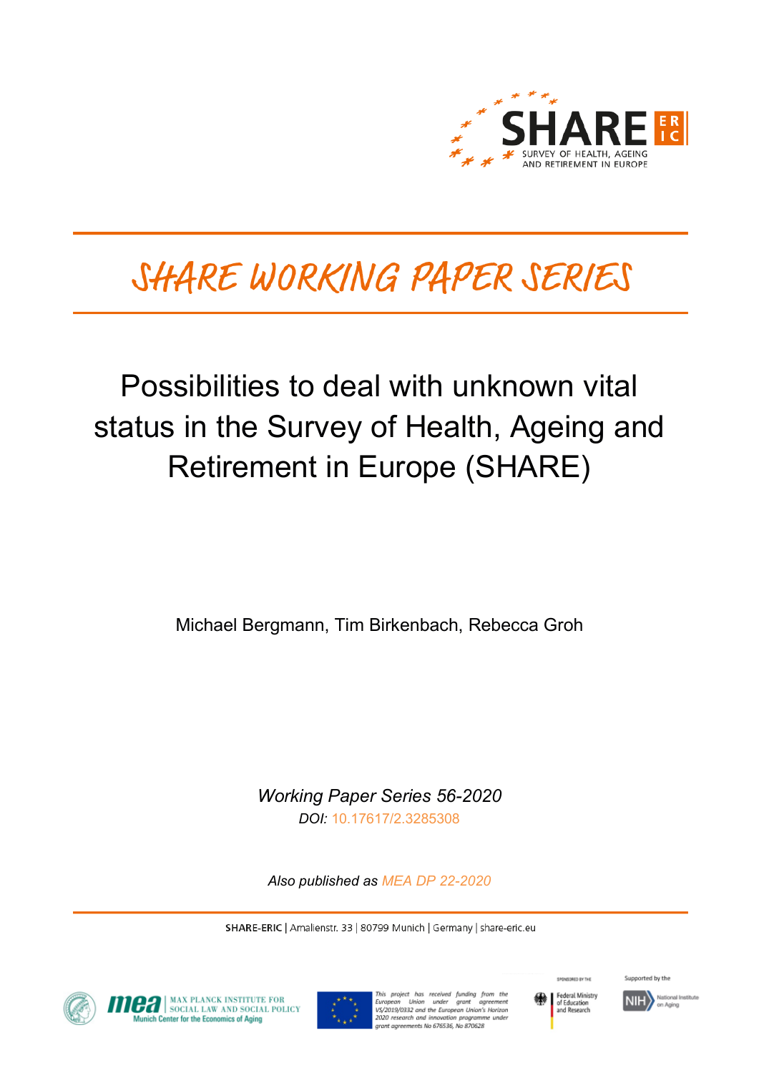

# SHARE WORKING PAPER SERIES

# Possibilities to deal with unknown vital status in the Survey of Health, Ageing and Retirement in Europe (SHARE)

Michael Bergmann, Tim Birkenbach, Rebecca Groh

*Working Paper Series 56-2020 DOI:* [10.17617/2.3285308](https://doi.org/10.17617/2.3285308)

*Also published as [MEA DP 22-2020](https://www.mpisoc.mpg.de/sozialpolitik-mea/publikationen/detail/publication/possibilities-to-deal-with-unknown-vital-status-in-the-survey-of-health-ageing-and-retirement-in-europe-share/)*

SHARE-ERIC | Amalienstr. 33 | 80799 Munich | Germany | share-eric.eu



**MAX PLANCK INSTITUTE FOR CONTRACT SOCIAL LAW AND SOCIAL POLICY**<br>Munich Center for the Economics of Anina ich Center for the Economics of Aging



This project has received funding from the<br>European Union under grant agreement<br>VS/2019/0332 and the European-Union's Horizon 2020 research and innovation programme under au research and impleasair programm<br>ant agreements No 676536, No 870628



Supported by the

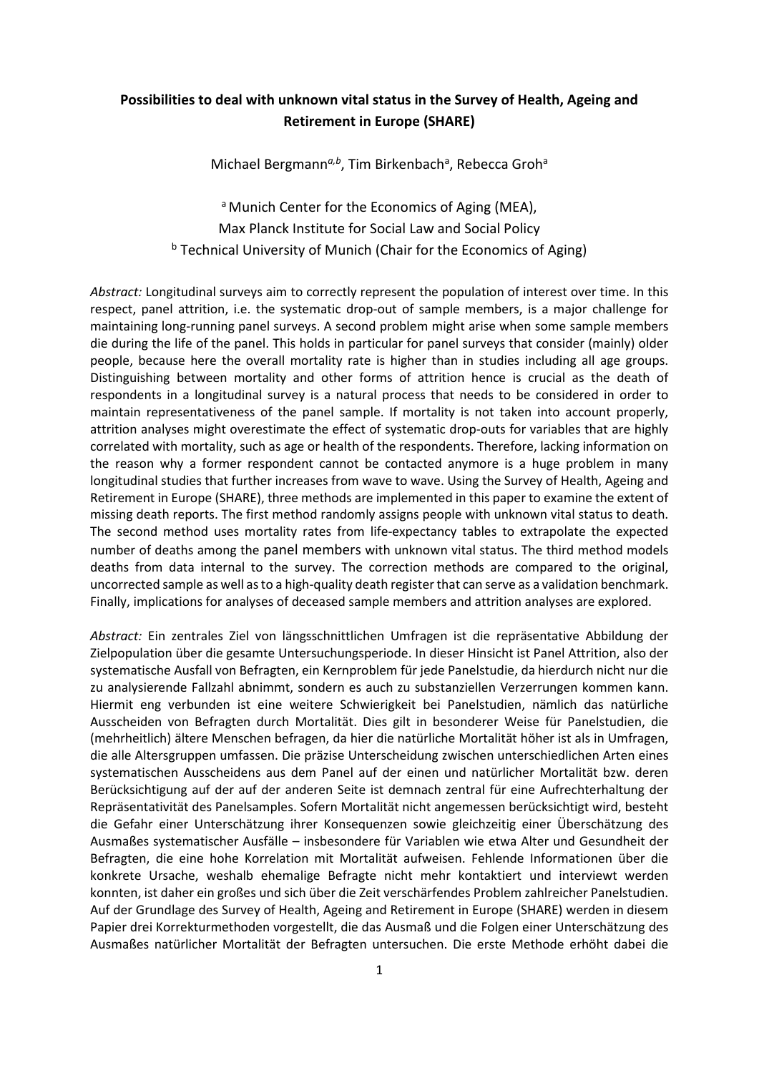## **Possibilities to deal with unknown vital status in the Survey of Health, Ageing and Retirement in Europe (SHARE)**

Michael Bergmann<sup>a,b</sup>, Tim Birkenbach<sup>a</sup>, Rebecca Groh<sup>a</sup>

<sup>a</sup> Munich Center for the Economics of Aging (MEA), Max Planck Institute for Social Law and Social Policy  $b$  Technical University of Munich (Chair for the Economics of Aging)

*Abstract:* Longitudinal surveys aim to correctly represent the population of interest over time. In this respect, panel attrition, i.e. the systematic drop-out of sample members, is a major challenge for maintaining long-running panel surveys. A second problem might arise when some sample members die during the life of the panel. This holds in particular for panel surveys that consider (mainly) older people, because here the overall mortality rate is higher than in studies including all age groups. Distinguishing between mortality and other forms of attrition hence is crucial as the death of respondents in a longitudinal survey is a natural process that needs to be considered in order to maintain representativeness of the panel sample. If mortality is not taken into account properly, attrition analyses might overestimate the effect of systematic drop-outs for variables that are highly correlated with mortality, such as age or health of the respondents. Therefore, lacking information on the reason why a former respondent cannot be contacted anymore is a huge problem in many longitudinal studies that further increases from wave to wave. Using the Survey of Health, Ageing and Retirement in Europe (SHARE), three methods are implemented in this paper to examine the extent of missing death reports. The first method randomly assigns people with unknown vital status to death. The second method uses mortality rates from life-expectancy tables to extrapolate the expected number of deaths among the panel members with unknown vital status. The third method models deaths from data internal to the survey. The correction methods are compared to the original, uncorrected sample as well as to a high-quality death register that can serve as a validation benchmark. Finally, implications for analyses of deceased sample members and attrition analyses are explored.

*Abstract:* Ein zentrales Ziel von längsschnittlichen Umfragen ist die repräsentative Abbildung der Zielpopulation über die gesamte Untersuchungsperiode. In dieser Hinsicht ist Panel Attrition, also der systematische Ausfall von Befragten, ein Kernproblem für jede Panelstudie, da hierdurch nicht nur die zu analysierende Fallzahl abnimmt, sondern es auch zu substanziellen Verzerrungen kommen kann. Hiermit eng verbunden ist eine weitere Schwierigkeit bei Panelstudien, nämlich das natürliche Ausscheiden von Befragten durch Mortalität. Dies gilt in besonderer Weise für Panelstudien, die (mehrheitlich) ältere Menschen befragen, da hier die natürliche Mortalität höher ist als in Umfragen, die alle Altersgruppen umfassen. Die präzise Unterscheidung zwischen unterschiedlichen Arten eines systematischen Ausscheidens aus dem Panel auf der einen und natürlicher Mortalität bzw. deren Berücksichtigung auf der auf der anderen Seite ist demnach zentral für eine Aufrechterhaltung der Repräsentativität des Panelsamples. Sofern Mortalität nicht angemessen berücksichtigt wird, besteht die Gefahr einer Unterschätzung ihrer Konsequenzen sowie gleichzeitig einer Überschätzung des Ausmaßes systematischer Ausfälle – insbesondere für Variablen wie etwa Alter und Gesundheit der Befragten, die eine hohe Korrelation mit Mortalität aufweisen. Fehlende Informationen über die konkrete Ursache, weshalb ehemalige Befragte nicht mehr kontaktiert und interviewt werden konnten, ist daher ein großes und sich über die Zeit verschärfendes Problem zahlreicher Panelstudien. Auf der Grundlage des Survey of Health, Ageing and Retirement in Europe (SHARE) werden in diesem Papier drei Korrekturmethoden vorgestellt, die das Ausmaß und die Folgen einer Unterschätzung des Ausmaßes natürlicher Mortalität der Befragten untersuchen. Die erste Methode erhöht dabei die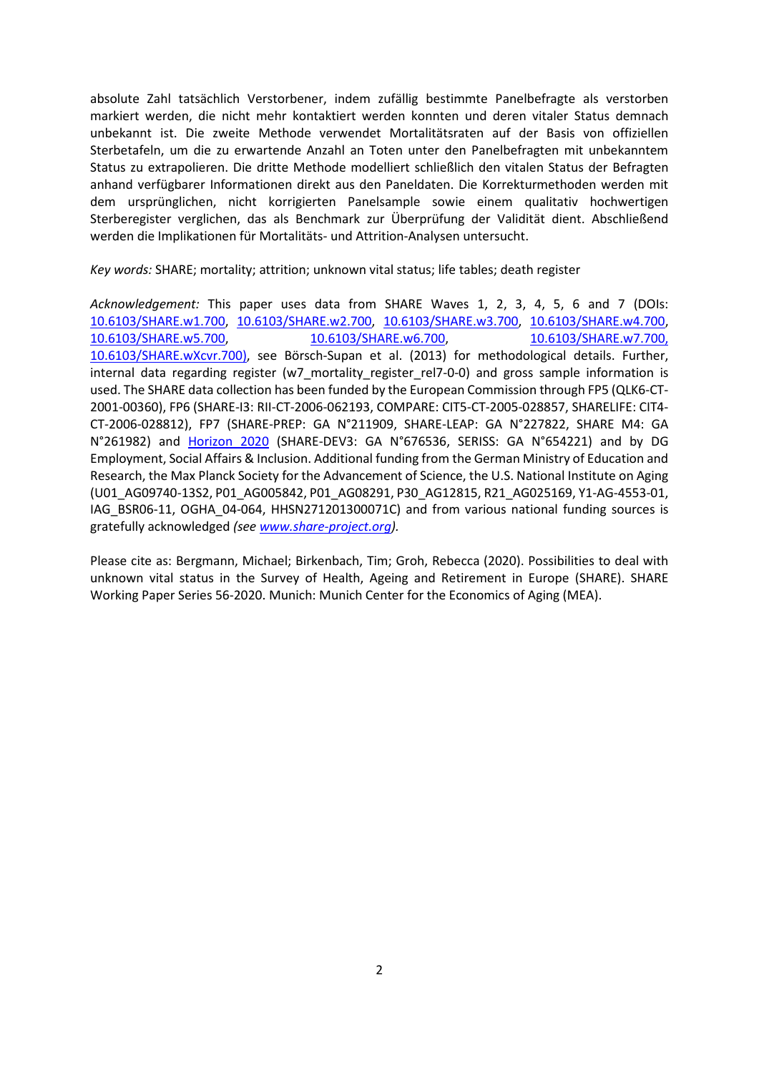absolute Zahl tatsächlich Verstorbener, indem zufällig bestimmte Panelbefragte als verstorben markiert werden, die nicht mehr kontaktiert werden konnten und deren vitaler Status demnach unbekannt ist. Die zweite Methode verwendet Mortalitätsraten auf der Basis von offiziellen Sterbetafeln, um die zu erwartende Anzahl an Toten unter den Panelbefragten mit unbekanntem Status zu extrapolieren. Die dritte Methode modelliert schließlich den vitalen Status der Befragten anhand verfügbarer Informationen direkt aus den Paneldaten. Die Korrekturmethoden werden mit dem ursprünglichen, nicht korrigierten Panelsample sowie einem qualitativ hochwertigen Sterberegister verglichen, das als Benchmark zur Überprüfung der Validität dient. Abschließend werden die Implikationen für Mortalitäts- und Attrition-Analysen untersucht.

*Key words:* SHARE; mortality; attrition; unknown vital status; life tables; death register

*Acknowledgement:* This paper uses data from SHARE Waves 1, 2, 3, 4, 5, 6 and 7 (DOIs: [10.6103/SHARE.w1.700,](http://dx.doi.org/10.6103/SHARE.w1.700) [10.6103/SHARE.w2.700,](http://dx.doi.org/10.6103/SHARE.w2.700) [10.6103/SHARE.w3.700,](http://dx.doi.org/10.6103/SHARE.w3.700) [10.6103/SHARE.w4.700,](http://dx.doi.org/10.6103/SHARE.w4.700) [10.6103/SHARE.w5.700,](http://dx.doi.org/10.6103/SHARE.w5.700) [10.6103/SHARE.w6.700,](http://dx.doi.org/10.6103/SHARE.w6.700) [10.6103/SHARE.w7.700,](http://dx.doi.org/10.6103/SHARE.w7.700)  [10.6103/SHARE.wXcvr.700\)](http://dx.doi.org/10.6103/SHARE.w7.700), see [Börsch-Supan et](#page-24-0) al. (2013) for methodological details. Further, internal data regarding register (w7 mortality register rel7-0-0) and gross sample information is used. The SHARE data collection has been funded by the European Commission through FP5 (QLK6-CT-2001-00360), FP6 (SHARE-I3: RII-CT-2006-062193, COMPARE: CIT5-CT-2005-028857, SHARELIFE: CIT4- CT-2006-028812), FP7 (SHARE-PREP: GA N°211909, SHARE-LEAP: GA N°227822, SHARE M4: GA N°261982) and [Horizon 2020](https://cordis.europa.eu/guidance/archive_en.html) (SHARE-DEV3: GA N°676536, SERISS: GA N°654221) and by DG Employment, Social Affairs & Inclusion. Additional funding from the German Ministry of Education and Research, the Max Planck Society for the Advancement of Science, the U.S. National Institute on Aging (U01\_AG09740-13S2, P01\_AG005842, P01\_AG08291, P30\_AG12815, R21\_AG025169, Y1-AG-4553-01, IAG\_BSR06-11, OGHA\_04-064, HHSN271201300071C) and from various national funding sources is gratefully acknowledged *(se[e www.share-project.org\)](http://www.share-project.org/).*

Please cite as: Bergmann, Michael; Birkenbach, Tim; Groh, Rebecca (2020). Possibilities to deal with unknown vital status in the Survey of Health, Ageing and Retirement in Europe (SHARE). SHARE Working Paper Series 56-2020. Munich: Munich Center for the Economics of Aging (MEA).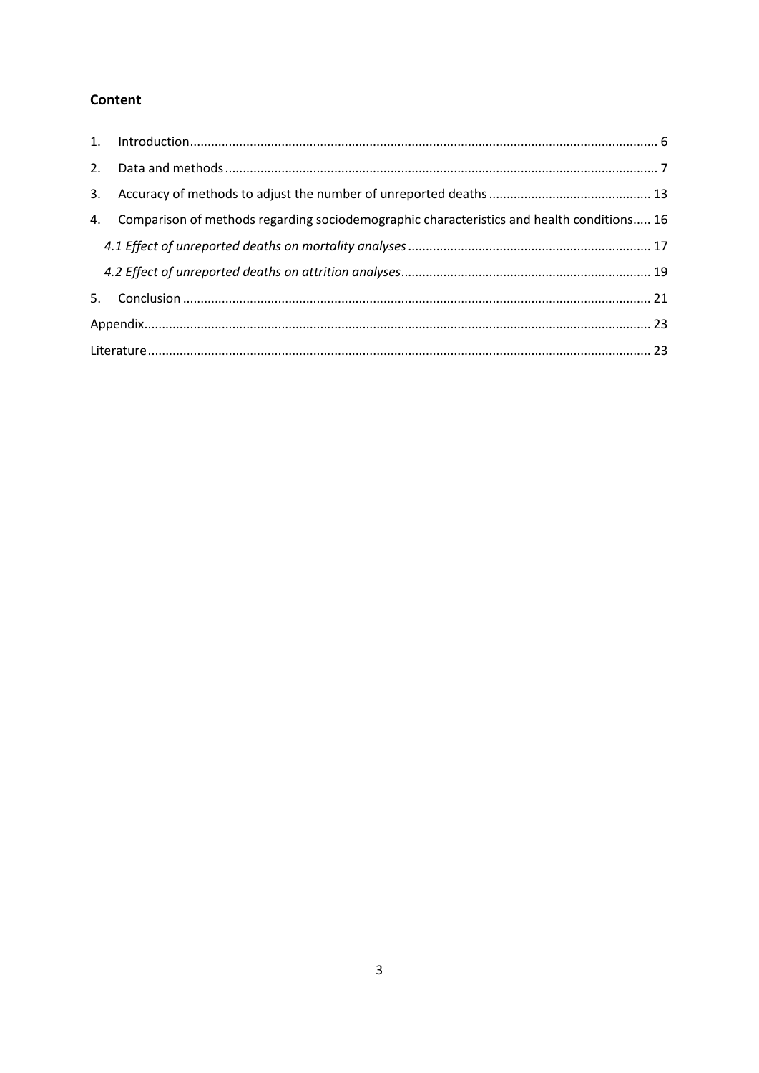# Content

| 4. Comparison of methods regarding sociodemographic characteristics and health conditions 16 |  |
|----------------------------------------------------------------------------------------------|--|
|                                                                                              |  |
|                                                                                              |  |
|                                                                                              |  |
|                                                                                              |  |
|                                                                                              |  |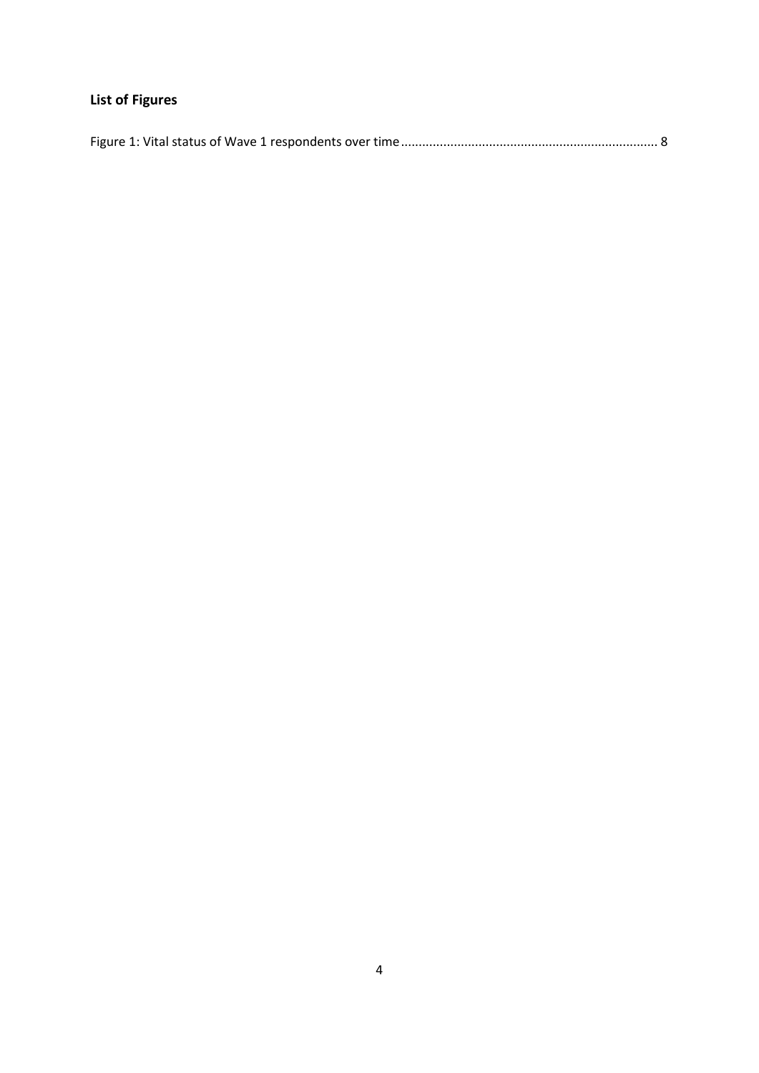# **List of Figures**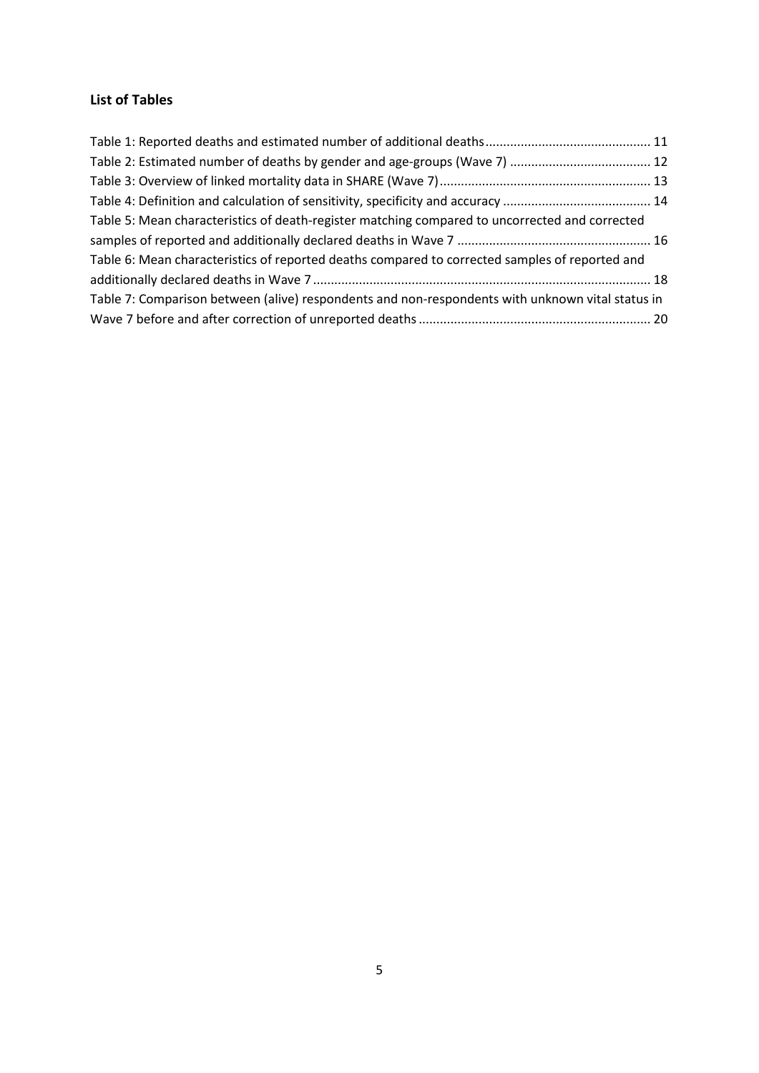# **List of Tables**

| Table 5: Mean characteristics of death-register matching compared to uncorrected and corrected   |  |
|--------------------------------------------------------------------------------------------------|--|
|                                                                                                  |  |
| Table 6: Mean characteristics of reported deaths compared to corrected samples of reported and   |  |
|                                                                                                  |  |
| Table 7: Comparison between (alive) respondents and non-respondents with unknown vital status in |  |
|                                                                                                  |  |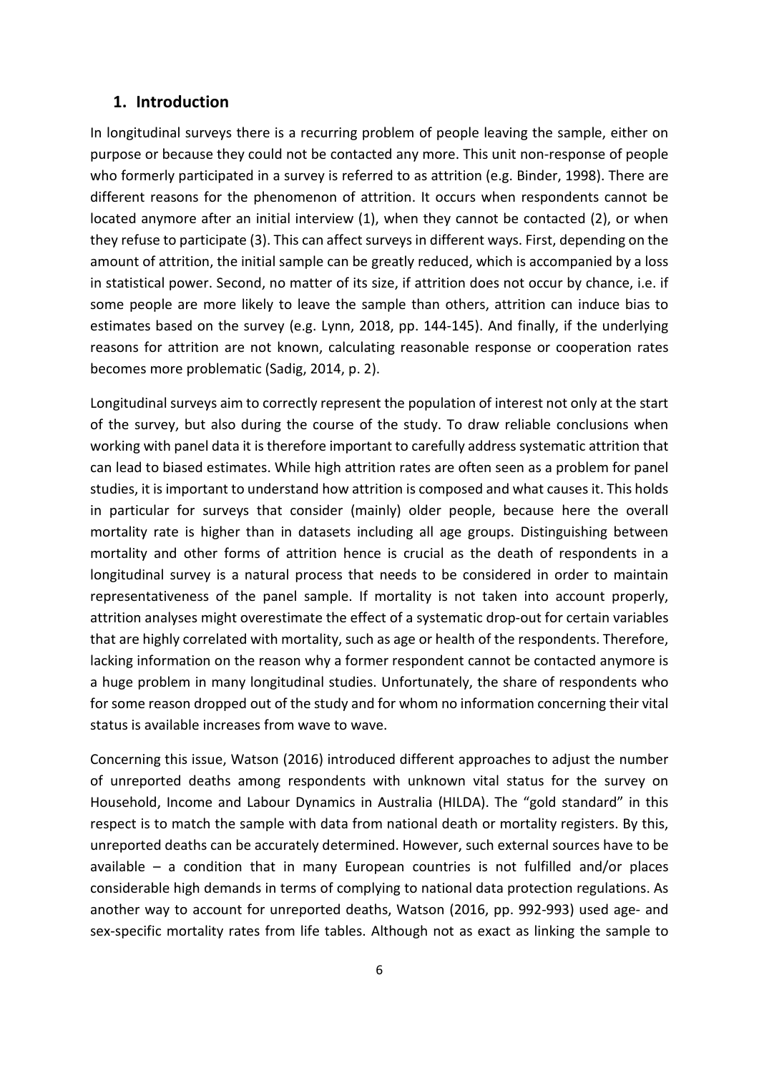## <span id="page-6-0"></span>**1. Introduction**

In longitudinal surveys there is a recurring problem of people leaving the sample, either on purpose or because they could not be contacted any more. This unit non-response of people who formerly participated in a survey is referred to as attrition [\(e.g. Binder, 1998\)](#page-23-2). There are different reasons for the phenomenon of attrition. It occurs when respondents cannot be located anymore after an initial interview (1), when they cannot be contacted (2), or when they refuse to participate (3). This can affect surveys in different ways. First, depending on the amount of attrition, the initial sample can be greatly reduced, which is accompanied by a loss in statistical power. Second, no matter of its size, if attrition does not occur by chance, i.e. if some people are more likely to leave the sample than others, attrition can induce bias to estimates based on the survey [\(e.g. Lynn, 2018, pp. 144-145\)](#page-24-1). And finally, if the underlying reasons for attrition are not known, calculating reasonable response or cooperation rates becomes more problematic [\(Sadig, 2014, p. 2\)](#page-24-2).

Longitudinal surveys aim to correctly represent the population of interest not only at the start of the survey, but also during the course of the study. To draw reliable conclusions when working with panel data it is therefore important to carefully address systematic attrition that can lead to biased estimates. While high attrition rates are often seen as a problem for panel studies, it is important to understand how attrition is composed and what causes it. This holds in particular for surveys that consider (mainly) older people, because here the overall mortality rate is higher than in datasets including all age groups. Distinguishing between mortality and other forms of attrition hence is crucial as the death of respondents in a longitudinal survey is a natural process that needs to be considered in order to maintain representativeness of the panel sample. If mortality is not taken into account properly, attrition analyses might overestimate the effect of a systematic drop-out for certain variables that are highly correlated with mortality, such as age or health of the respondents. Therefore, lacking information on the reason why a former respondent cannot be contacted anymore is a huge problem in many longitudinal studies. Unfortunately, the share of respondents who for some reason dropped out of the study and for whom no information concerning their vital status is available increases from wave to wave.

Concerning this issue, Watson [\(2016\)](#page-25-0) introduced different approaches to adjust the number of unreported deaths among respondents with unknown vital status for the survey on Household, Income and Labour Dynamics in Australia (HILDA). The "gold standard" in this respect is to match the sample with data from national death or mortality registers. By this, unreported deaths can be accurately determined. However, such external sources have to be available – a condition that in many European countries is not fulfilled and/or places considerable high demands in terms of complying to national data protection regulations. As another way to account for unreported deaths, [Watson \(2016, pp. 992-993\)](#page-25-0) used age- and sex-specific mortality rates from life tables. Although not as exact as linking the sample to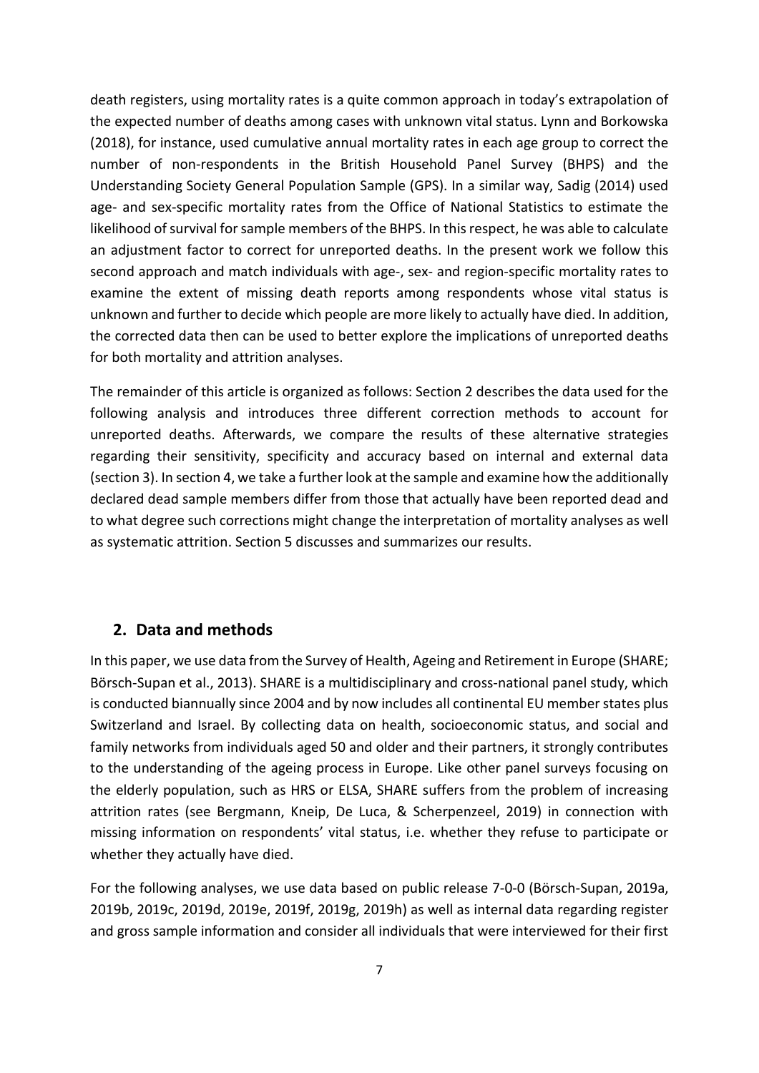death registers, using mortality rates is a quite common approach in today's extrapolation of the expected number of deaths among cases with unknown vital status. Lynn and Borkowska [\(2018\)](#page-24-3), for instance, used cumulative annual mortality rates in each age group to correct the number of non-respondents in the British Household Panel Survey (BHPS) and the Understanding Society General Population Sample (GPS). In a similar way, Sadig [\(2014\)](#page-24-2) used age- and sex-specific mortality rates from the Office of National Statistics to estimate the likelihood of survival for sample members of the BHPS. In this respect, he was able to calculate an adjustment factor to correct for unreported deaths. In the present work we follow this second approach and match individuals with age-, sex- and region-specific mortality rates to examine the extent of missing death reports among respondents whose vital status is unknown and further to decide which people are more likely to actually have died. In addition, the corrected data then can be used to better explore the implications of unreported deaths for both mortality and attrition analyses.

The remainder of this article is organized as follows: Section [2](#page-7-0) describes the data used for the following analysis and introduces three different correction methods to account for unreported deaths. Afterwards, we compare the results of these alternative strategies regarding their sensitivity, specificity and accuracy based on internal and external data (sectio[n 3\)](#page-13-0). In sectio[n 4,](#page-16-0) we take a further look at the sample and examine how the additionally declared dead sample members differ from those that actually have been reported dead and to what degree such corrections might change the interpretation of mortality analyses as well as systematic attrition. Section [5](#page-21-0) discusses and summarizes our results.

# <span id="page-7-0"></span>**2. Data and methods**

In this paper, we use data from the Survey of Health, Ageing and Retirement in Europe [\(SHARE;](#page-24-0)  [Börsch-Supan et al., 2013\)](#page-24-0). SHARE is a multidisciplinary and cross-national panel study, which is conducted biannually since 2004 and by now includes all continental EU member states plus Switzerland and Israel. By collecting data on health, socioeconomic status, and social and family networks from individuals aged 50 and older and their partners, it strongly contributes to the understanding of the ageing process in Europe. Like other panel surveys focusing on the elderly population, such as HRS or ELSA, SHARE suffers from the problem of increasing attrition rates [\(see Bergmann, Kneip, De Luca, & Scherpenzeel, 2019\)](#page-23-3) in connection with missing information on respondents' vital status, i.e. whether they refuse to participate or whether they actually have died.

For the following analyses, we use data based on public release 7-0-0 [\(Börsch-Supan, 2019a,](#page-23-4) [2019b,](#page-23-5) [2019c,](#page-24-4) [2019d,](#page-24-5) [2019e,](#page-24-6) [2019f,](#page-24-7) [2019g,](#page-24-8) [2019h\)](#page-24-9) as well as internal data regarding register and gross sample information and consider all individuals that were interviewed for their first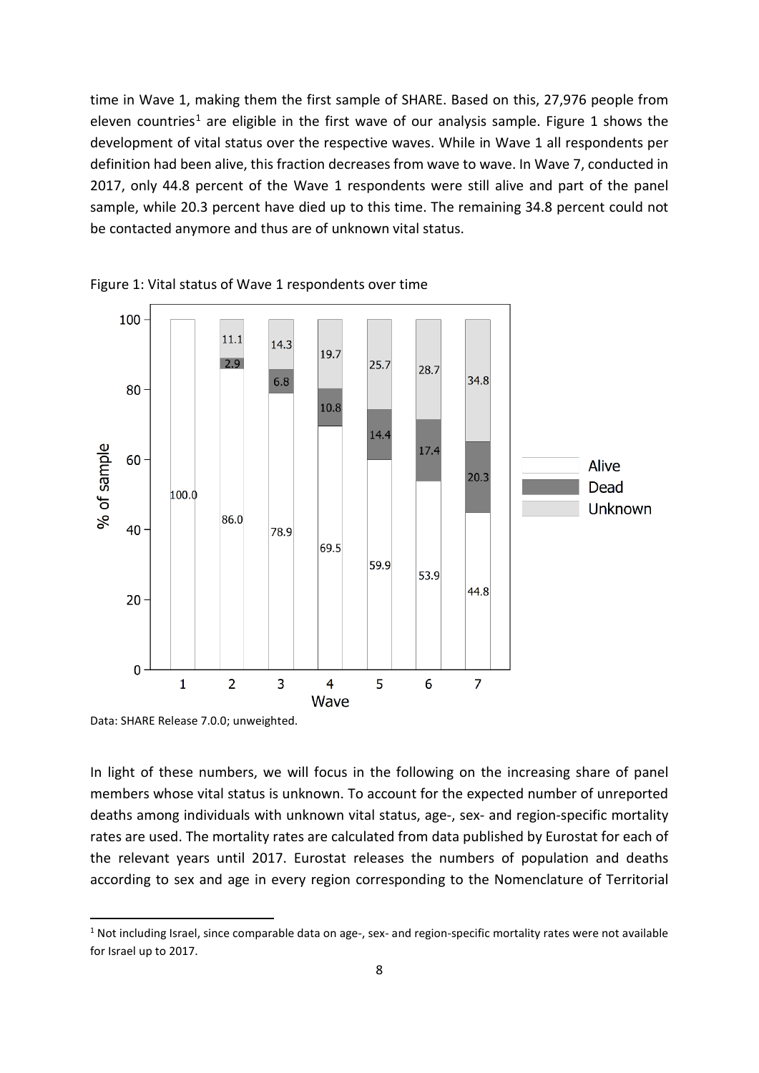time in Wave 1, making them the first sample of SHARE. Based on this, 27,976 people from eleven countries<sup>[1](#page-8-1)</sup> are eligible in the first wave of our analysis sample. Figure 1 shows the development of vital status over the respective waves. While in Wave 1 all respondents per definition had been alive, this fraction decreases from wave to wave. In Wave 7, conducted in 2017, only 44.8 percent of the Wave 1 respondents were still alive and part of the panel sample, while 20.3 percent have died up to this time. The remaining 34.8 percent could not be contacted anymore and thus are of unknown vital status.



<span id="page-8-0"></span>

Data: SHARE Release 7.0.0; unweighted.

In light of these numbers, we will focus in the following on the increasing share of panel members whose vital status is unknown. To account for the expected number of unreported deaths among individuals with unknown vital status, age-, sex- and region-specific mortality rates are used. The mortality rates are calculated from data published by Eurostat for each of the relevant years until 2017. Eurostat releases the numbers of population and deaths according to sex and age in every region corresponding to the Nomenclature of Territorial

<span id="page-8-1"></span> $1$  Not including Israel, since comparable data on age-, sex- and region-specific mortality rates were not available for Israel up to 2017.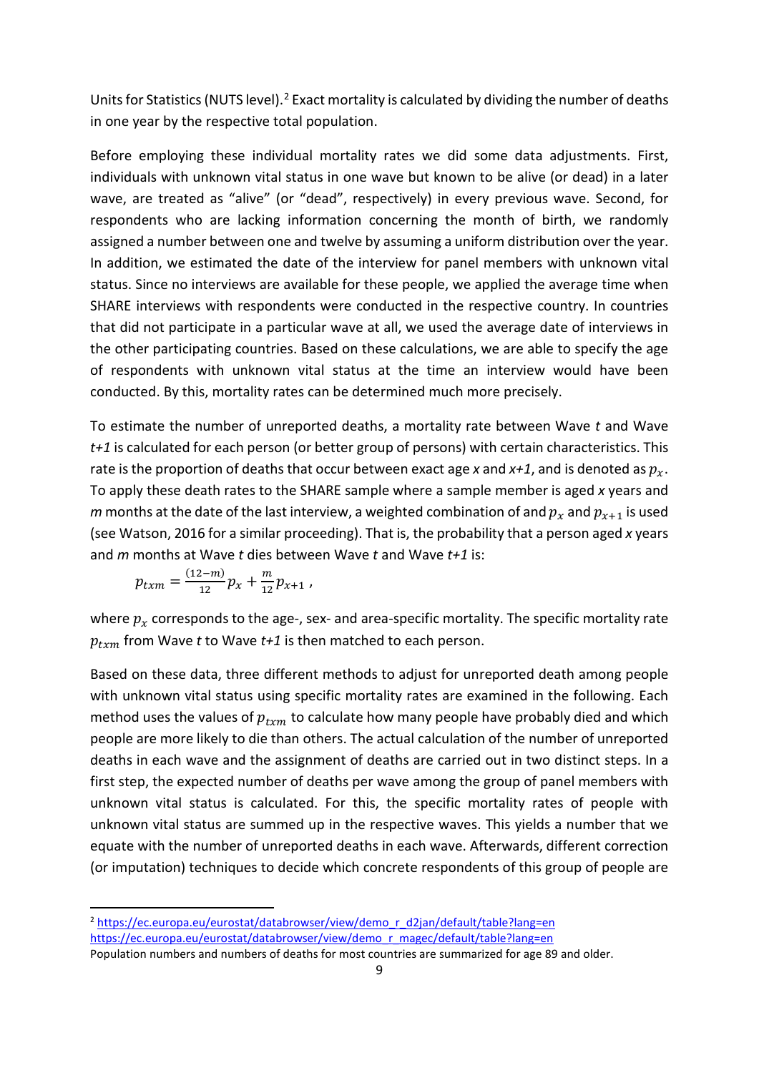Units for Statistics (NUTS level).<sup>[2](#page-9-0)</sup> Exact mortality is calculated by dividing the number of deaths in one year by the respective total population.

Before employing these individual mortality rates we did some data adjustments. First, individuals with unknown vital status in one wave but known to be alive (or dead) in a later wave, are treated as "alive" (or "dead", respectively) in every previous wave. Second, for respondents who are lacking information concerning the month of birth, we randomly assigned a number between one and twelve by assuming a uniform distribution over the year. In addition, we estimated the date of the interview for panel members with unknown vital status. Since no interviews are available for these people, we applied the average time when SHARE interviews with respondents were conducted in the respective country. In countries that did not participate in a particular wave at all, we used the average date of interviews in the other participating countries. Based on these calculations, we are able to specify the age of respondents with unknown vital status at the time an interview would have been conducted. By this, mortality rates can be determined much more precisely.

To estimate the number of unreported deaths, a mortality rate between Wave *t* and Wave *t+1* is calculated for each person (or better group of persons) with certain characteristics. This rate is the proportion of deaths that occur between exact age x and  $x+1$ , and is denoted as  $p_x$ . To apply these death rates to the SHARE sample where a sample member is aged *x* years and *m* months at the date of the last interview, a weighted combination of and  $p_x$  and  $p_{x+1}$  is used [\(see Watson, 2016 for a similar proceeding\)](#page-25-0). That is, the probability that a person aged *x* years and *m* months at Wave *t* dies between Wave *t* and Wave *t+1* is:

$$
p_{txm} = \frac{(12-m)}{12} p_x + \frac{m}{12} p_{x+1} \,,
$$

where  $p_x$  corresponds to the age-, sex- and area-specific mortality. The specific mortality rate  $p_{txm}$  from Wave *t* to Wave  $t+1$  is then matched to each person.

Based on these data, three different methods to adjust for unreported death among people with unknown vital status using specific mortality rates are examined in the following. Each method uses the values of  $p_{t \nmid m}$  to calculate how many people have probably died and which people are more likely to die than others. The actual calculation of the number of unreported deaths in each wave and the assignment of deaths are carried out in two distinct steps. In a first step, the expected number of deaths per wave among the group of panel members with unknown vital status is calculated. For this, the specific mortality rates of people with unknown vital status are summed up in the respective waves. This yields a number that we equate with the number of unreported deaths in each wave. Afterwards, different correction (or imputation) techniques to decide which concrete respondents of this group of people are

<span id="page-9-0"></span><sup>&</sup>lt;sup>2</sup> [https://ec.europa.eu/eurostat/databrowser/view/demo\\_r\\_d2jan/default/table?lang=en](https://ec.europa.eu/eurostat/databrowser/view/demo_r_d2jan/default/table?lang=en) [https://ec.europa.eu/eurostat/databrowser/view/demo\\_r\\_magec/default/table?lang=en](https://ec.europa.eu/eurostat/databrowser/view/demo_r_magec/default/table?lang=en)

Population numbers and numbers of deaths for most countries are summarized for age 89 and older.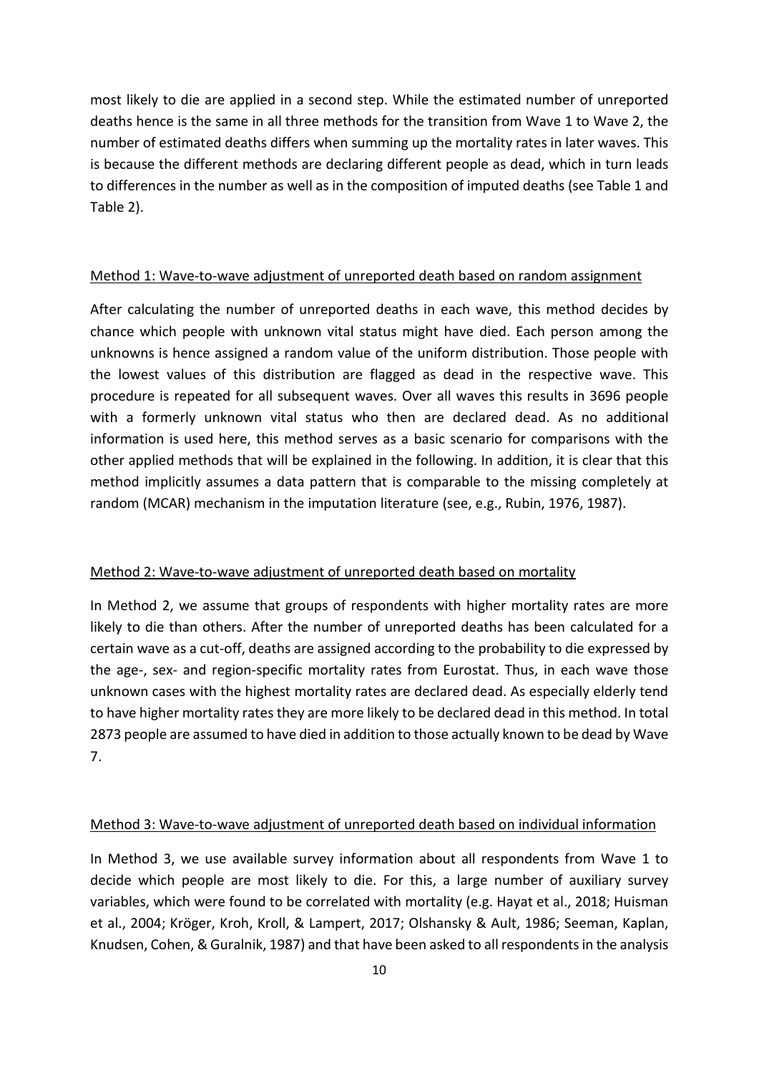most likely to die are applied in a second step. While the estimated number of unreported deaths hence is the same in all three methods for the transition from Wave 1 to Wave 2, the number of estimated deaths differs when summing up the mortality rates in later waves. This is because the different methods are declaring different people as dead, which in turn leads to differences in the number as well as in the composition of imputed deaths (see [Table 1](#page-11-0) and [Table 2\)](#page-12-0).

#### Method 1: Wave-to-wave adjustment of unreported death based on random assignment

After calculating the number of unreported deaths in each wave, this method decides by chance which people with unknown vital status might have died. Each person among the unknowns is hence assigned a random value of the uniform distribution. Those people with the lowest values of this distribution are flagged as dead in the respective wave. This procedure is repeated for all subsequent waves. Over all waves this results in 3696 people with a formerly unknown vital status who then are declared dead. As no additional information is used here, this method serves as a basic scenario for comparisons with the other applied methods that will be explained in the following. In addition, it is clear that this method implicitly assumes a data pattern that is comparable to the missing completely at random (MCAR) mechanism in the imputation literature (see, e.g., [Rubin, 1976,](#page-24-10) [1987\)](#page-24-11).

#### Method 2: Wave-to-wave adjustment of unreported death based on mortality

In Method 2, we assume that groups of respondents with higher mortality rates are more likely to die than others. After the number of unreported deaths has been calculated for a certain wave as a cut-off, deaths are assigned according to the probability to die expressed by the age-, sex- and region-specific mortality rates from Eurostat. Thus, in each wave those unknown cases with the highest mortality rates are declared dead. As especially elderly tend to have higher mortality rates they are more likely to be declared dead in this method. In total 2873 people are assumed to have died in addition to those actually known to be dead by Wave 7.

#### Method 3: Wave-to-wave adjustment of unreported death based on individual information

In Method 3, we use available survey information about all respondents from Wave 1 to decide which people are most likely to die. For this, a large number of auxiliary survey variables, which were found to be correlated with mortality (e.g. [Hayat et al., 2018;](#page-24-12) [Huisman](#page-24-13)  [et al., 2004;](#page-24-13) [Kröger, Kroh, Kroll, & Lampert, 2017;](#page-24-14) [Olshansky & Ault, 1986;](#page-24-15) [Seeman, Kaplan,](#page-25-1)  [Knudsen, Cohen, & Guralnik, 1987\)](#page-25-1) and that have been asked to all respondents in the analysis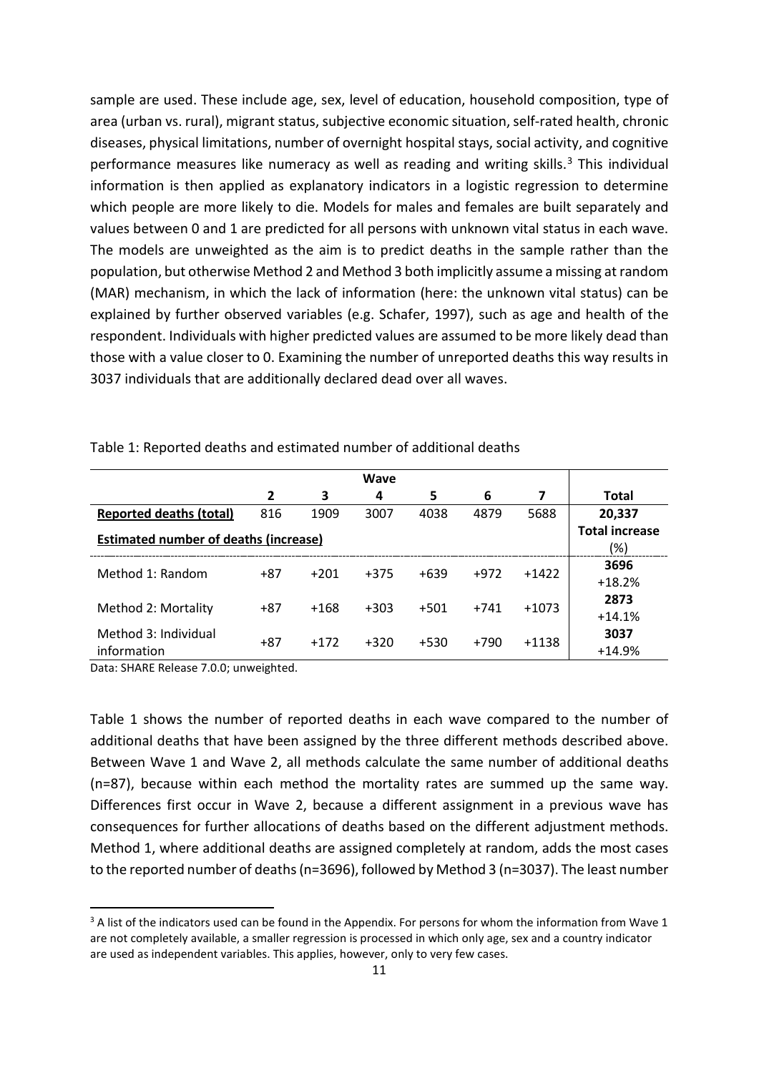sample are used. These include age, sex, level of education, household composition, type of area (urban vs. rural), migrant status, subjective economic situation, self-rated health, chronic diseases, physical limitations, number of overnight hospital stays, social activity, and cognitive performance measures like numeracy as well as reading and writing skills. $3$  This individual information is then applied as explanatory indicators in a logistic regression to determine which people are more likely to die. Models for males and females are built separately and values between 0 and 1 are predicted for all persons with unknown vital status in each wave. The models are unweighted as the aim is to predict deaths in the sample rather than the population, but otherwise Method 2 and Method 3 both implicitly assume a missing at random (MAR) mechanism, in which the lack of information (here: the unknown vital status) can be explained by further observed variables [\(e.g. Schafer, 1997\)](#page-24-16), such as age and health of the respondent. Individuals with higher predicted values are assumed to be more likely dead than those with a value closer to 0. Examining the number of unreported deaths this way results in 3037 individuals that are additionally declared dead over all waves.

|                                              |       |        | Wave   |        |        |         |                       |
|----------------------------------------------|-------|--------|--------|--------|--------|---------|-----------------------|
|                                              | 2     | 3      | 4      | 5      | 6      | 7       | <b>Total</b>          |
| <b>Reported deaths (total)</b>               | 816   | 1909   | 3007   | 4038   | 4879   | 5688    | 20,337                |
|                                              |       |        |        |        |        |         | <b>Total increase</b> |
| <b>Estimated number of deaths (increase)</b> |       |        |        |        |        | (%)     |                       |
| Method 1: Random                             | $+87$ | $+201$ | $+375$ | $+639$ | $+972$ | $+1422$ | 3696                  |
|                                              |       |        |        |        |        |         | $+18.2%$              |
|                                              | $+87$ | $+168$ | $+303$ | $+501$ | $+741$ | $+1073$ | 2873                  |
| Method 2: Mortality                          |       |        |        |        |        |         | $+14.1%$              |
| Method 3: Individual                         | $+87$ | $+172$ | $+320$ | $+530$ | +790   | $+1138$ | 3037                  |
| information                                  |       |        |        |        |        |         | $+14.9%$              |

<span id="page-11-0"></span>Table 1: Reported deaths and estimated number of additional deaths

Data: SHARE Release 7.0.0; unweighted.

[Table 1](#page-11-0) shows the number of reported deaths in each wave compared to the number of additional deaths that have been assigned by the three different methods described above. Between Wave 1 and Wave 2, all methods calculate the same number of additional deaths (n=87), because within each method the mortality rates are summed up the same way. Differences first occur in Wave 2, because a different assignment in a previous wave has consequences for further allocations of deaths based on the different adjustment methods. Method 1, where additional deaths are assigned completely at random, adds the most cases to the reported number of deaths(n=3696), followed by Method 3 (n=3037). The least number

<span id="page-11-1"></span> $3$  A list of the indicators used can be found in the Appendix. For persons for whom the information from Wave 1 are not completely available, a smaller regression is processed in which only age, sex and a country indicator are used as independent variables. This applies, however, only to very few cases.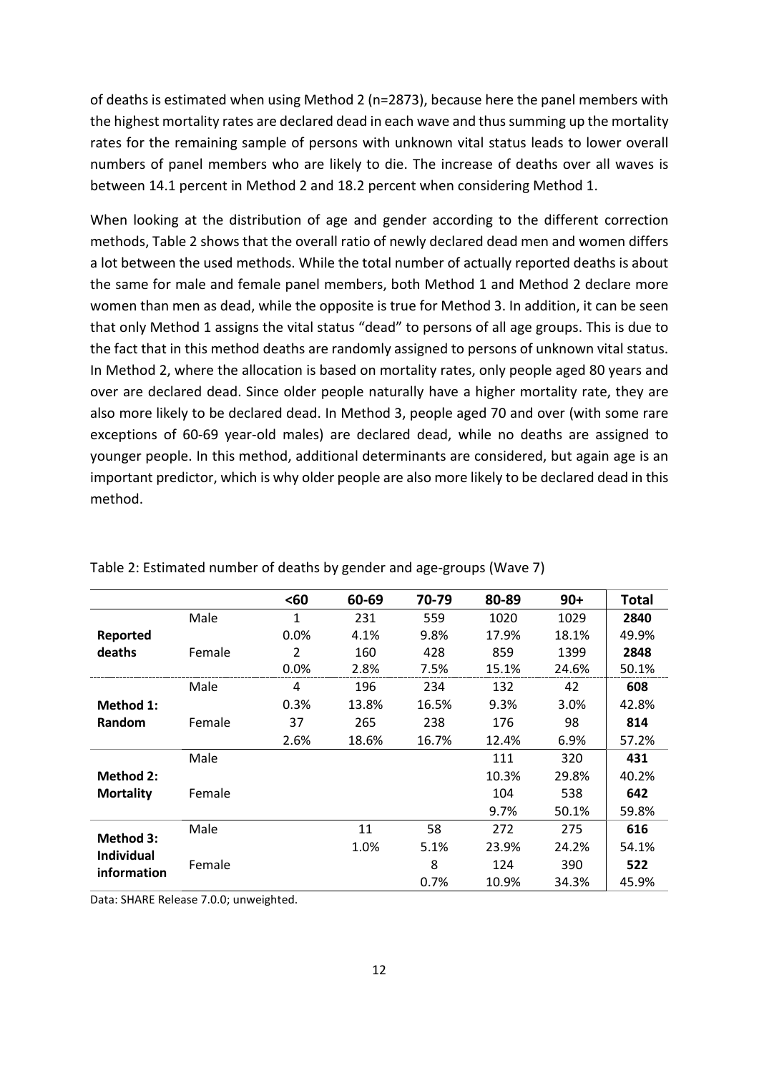of deaths is estimated when using Method 2 (n=2873), because here the panel members with the highest mortality rates are declared dead in each wave and thus summing up the mortality rates for the remaining sample of persons with unknown vital status leads to lower overall numbers of panel members who are likely to die. The increase of deaths over all waves is between 14.1 percent in Method 2 and 18.2 percent when considering Method 1.

When looking at the distribution of age and gender according to the different correction methods[, Table](#page-12-0) 2 shows that the overall ratio of newly declared dead men and women differs a lot between the used methods. While the total number of actually reported deaths is about the same for male and female panel members, both Method 1 and Method 2 declare more women than men as dead, while the opposite is true for Method 3. In addition, it can be seen that only Method 1 assigns the vital status "dead" to persons of all age groups. This is due to the fact that in this method deaths are randomly assigned to persons of unknown vital status. In Method 2, where the allocation is based on mortality rates, only people aged 80 years and over are declared dead. Since older people naturally have a higher mortality rate, they are also more likely to be declared dead. In Method 3, people aged 70 and over (with some rare exceptions of 60-69 year-old males) are declared dead, while no deaths are assigned to younger people. In this method, additional determinants are considered, but again age is an important predictor, which is why older people are also more likely to be declared dead in this method.

|                   |        | <60            | 60-69 | 70-79 | 80-89 | $90+$ | <b>Total</b> |
|-------------------|--------|----------------|-------|-------|-------|-------|--------------|
|                   | Male   | 1              | 231   | 559   | 1020  | 1029  | 2840         |
| Reported          |        | 0.0%           | 4.1%  | 9.8%  | 17.9% | 18.1% | 49.9%        |
| deaths            | Female | $\overline{2}$ | 160   | 428   | 859   | 1399  | 2848         |
|                   |        | 0.0%           | 2.8%  | 7.5%  | 15.1% | 24.6% | 50.1%        |
|                   | Male   | 4              | 196   | 234   | 132   | 42    | 608          |
| Method 1:         |        | 0.3%           | 13.8% | 16.5% | 9.3%  | 3.0%  | 42.8%        |
| <b>Random</b>     | Female | 37             | 265   | 238   | 176   | 98    | 814          |
|                   |        | 2.6%           | 18.6% | 16.7% | 12.4% | 6.9%  | 57.2%        |
|                   | Male   |                |       |       | 111   | 320   | 431          |
| Method 2:         |        |                |       |       | 10.3% | 29.8% | 40.2%        |
| <b>Mortality</b>  | Female |                |       |       | 104   | 538   | 642          |
|                   |        |                |       |       | 9.7%  | 50.1% | 59.8%        |
|                   | Male   |                | 11    | 58    | 272   | 275   | 616          |
| <b>Method 3:</b>  |        |                | 1.0%  | 5.1%  | 23.9% | 24.2% | 54.1%        |
| <b>Individual</b> | Female |                |       | 8     | 124   | 390   | 522          |
| information       |        |                |       | 0.7%  | 10.9% | 34.3% | 45.9%        |

<span id="page-12-0"></span>Table 2: Estimated number of deaths by gender and age-groups (Wave 7)

Data: SHARE Release 7.0.0; unweighted.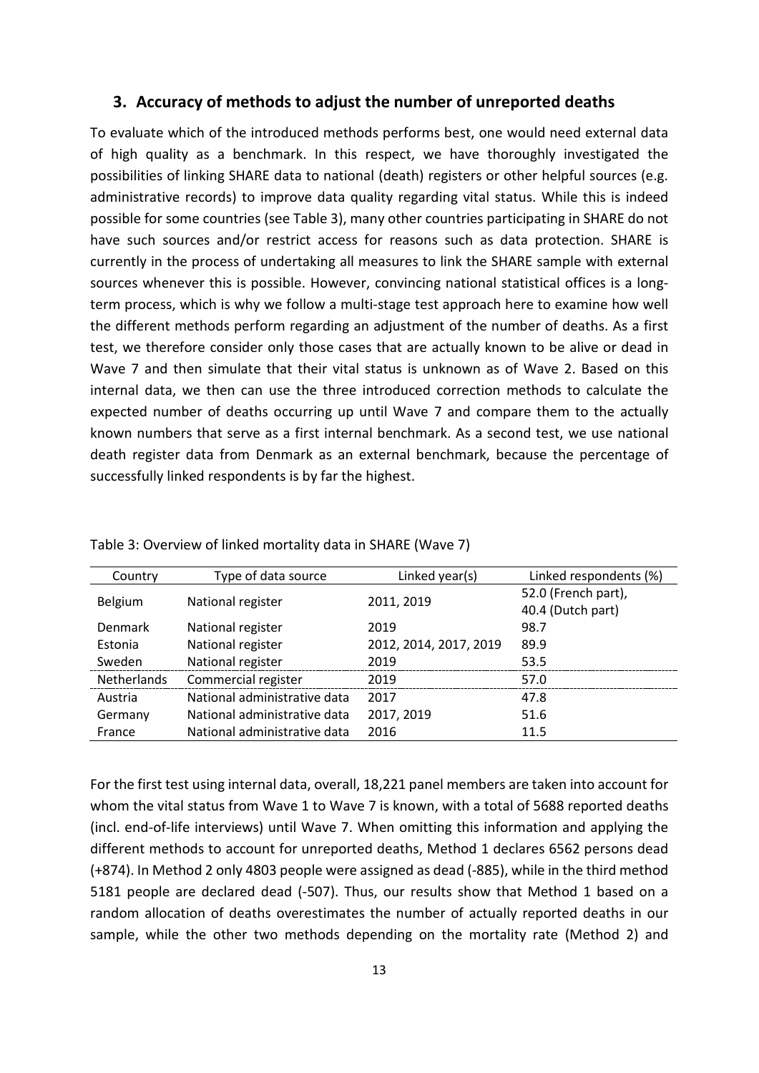## <span id="page-13-0"></span>**3. Accuracy of methods to adjust the number of unreported deaths**

To evaluate which of the introduced methods performs best, one would need external data of high quality as a benchmark. In this respect, we have thoroughly investigated the possibilities of linking SHARE data to national (death) registers or other helpful sources (e.g. administrative records) to improve data quality regarding vital status. While this is indeed possible for some countries (see [Table 3\)](#page-13-1), many other countries participating in SHARE do not have such sources and/or restrict access for reasons such as data protection. SHARE is currently in the process of undertaking all measures to link the SHARE sample with external sources whenever this is possible. However, convincing national statistical offices is a longterm process, which is why we follow a multi-stage test approach here to examine how well the different methods perform regarding an adjustment of the number of deaths. As a first test, we therefore consider only those cases that are actually known to be alive or dead in Wave 7 and then simulate that their vital status is unknown as of Wave 2. Based on this internal data, we then can use the three introduced correction methods to calculate the expected number of deaths occurring up until Wave 7 and compare them to the actually known numbers that serve as a first internal benchmark. As a second test, we use national death register data from Denmark as an external benchmark, because the percentage of successfully linked respondents is by far the highest.

| Country        | Type of data source          | Linked year(s)         | Linked respondents (%)                   |
|----------------|------------------------------|------------------------|------------------------------------------|
| <b>Belgium</b> | National register            | 2011, 2019             | 52.0 (French part),<br>40.4 (Dutch part) |
| Denmark        | National register            | 2019                   | 98.7                                     |
| Estonia        | National register            | 2012, 2014, 2017, 2019 | 89.9                                     |
| Sweden         | National register            | 2019                   | 53.5                                     |
| Netherlands    | Commercial register          | 2019                   | 57.0                                     |
| Austria        | National administrative data | 2017                   | 47.8                                     |
| Germany        | National administrative data | 2017, 2019             | 51.6                                     |
| France         | National administrative data | 2016                   | 11.5                                     |

<span id="page-13-1"></span>Table 3: Overview of linked mortality data in SHARE (Wave 7)

For the first test using internal data, overall, 18,221 panel members are taken into account for whom the vital status from Wave 1 to Wave 7 is known, with a total of 5688 reported deaths (incl. end-of-life interviews) until Wave 7. When omitting this information and applying the different methods to account for unreported deaths, Method 1 declares 6562 persons dead (+874). In Method 2 only 4803 people were assigned as dead (-885), while in the third method 5181 people are declared dead (-507). Thus, our results show that Method 1 based on a random allocation of deaths overestimates the number of actually reported deaths in our sample, while the other two methods depending on the mortality rate (Method 2) and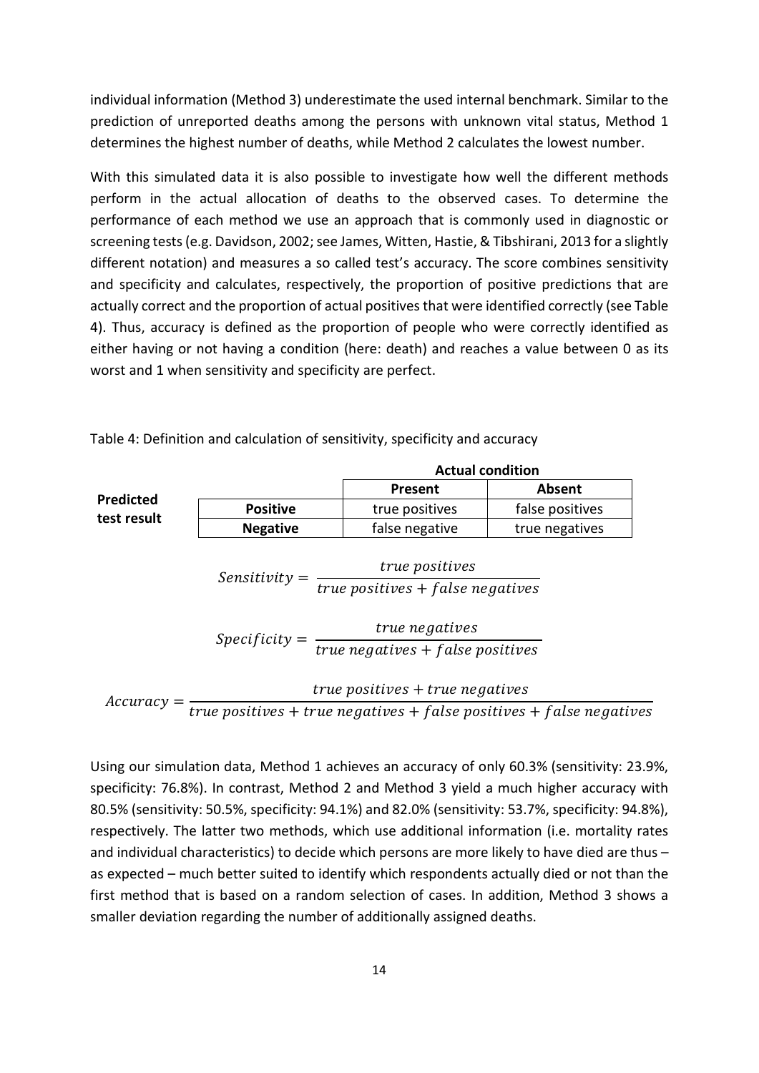individual information (Method 3) underestimate the used internal benchmark. Similar to the prediction of unreported deaths among the persons with unknown vital status, Method 1 determines the highest number of deaths, while Method 2 calculates the lowest number.

With this simulated data it is also possible to investigate how well the different methods perform in the actual allocation of deaths to the observed cases. To determine the performance of each method we use an approach that is commonly used in diagnostic or screening tests[\(e.g. Davidson, 2002;](#page-24-17) [see James, Witten, Hastie, & Tibshirani, 2013 for a slightly](#page-24-18)  [different notation\)](#page-24-18) and measures a so called test's accuracy. The score combines sensitivity and specificity and calculates, respectively, the proportion of positive predictions that are actually correct and the proportion of actual positives that were identified correctly (see [Table](#page-14-0)  [4\)](#page-14-0). Thus, accuracy is defined as the proportion of people who were correctly identified as either having or not having a condition (here: death) and reaches a value between 0 as its worst and 1 when sensitivity and specificity are perfect.

|                  |                 | <b>Actual condition</b>                                                                        |                                                                                  |  |  |  |  |  |
|------------------|-----------------|------------------------------------------------------------------------------------------------|----------------------------------------------------------------------------------|--|--|--|--|--|
|                  |                 | Present                                                                                        | <b>Absent</b>                                                                    |  |  |  |  |  |
| <b>Predicted</b> | <b>Positive</b> | true positives                                                                                 | false positives                                                                  |  |  |  |  |  |
| test result      | <b>Negative</b> | false negative                                                                                 | true negatives                                                                   |  |  |  |  |  |
|                  | $Sensitivity =$ | true positives<br>$true$ positives + false negatives                                           |                                                                                  |  |  |  |  |  |
|                  |                 | $Specificity = \frac{true \text{ negatives}}{true \text{ negatives} + false \text{ positive}}$ |                                                                                  |  |  |  |  |  |
|                  |                 | $true$ positives $+ true$ negatives                                                            |                                                                                  |  |  |  |  |  |
| $Accuracy =$     |                 |                                                                                                | $\overline{true}$ positives + true negatives + false positives + false negatives |  |  |  |  |  |

<span id="page-14-0"></span>Table 4: Definition and calculation of sensitivity, specificity and accuracy

Using our simulation data, Method 1 achieves an accuracy of only 60.3% (sensitivity: 23.9%, specificity: 76.8%). In contrast, Method 2 and Method 3 yield a much higher accuracy with 80.5% (sensitivity: 50.5%, specificity: 94.1%) and 82.0% (sensitivity: 53.7%, specificity: 94.8%), respectively. The latter two methods, which use additional information (i.e. mortality rates and individual characteristics) to decide which persons are more likely to have died are thus – as expected – much better suited to identify which respondents actually died or not than the first method that is based on a random selection of cases. In addition, Method 3 shows a smaller deviation regarding the number of additionally assigned deaths.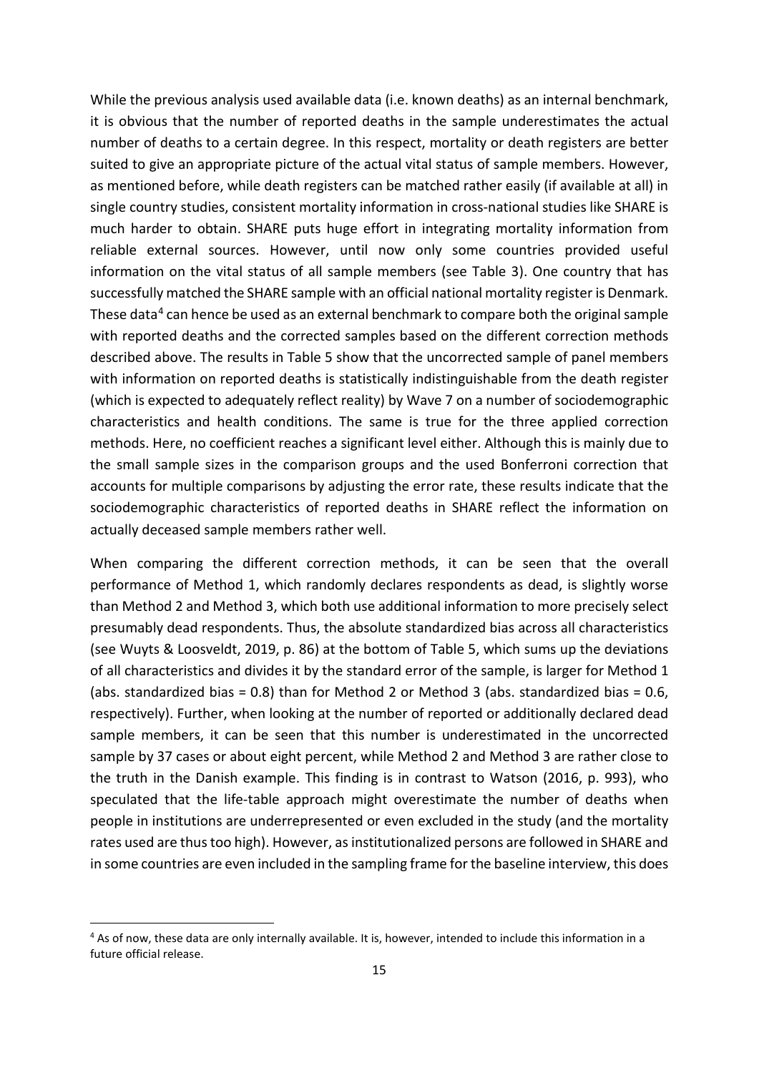While the previous analysis used available data (i.e. known deaths) as an internal benchmark, it is obvious that the number of reported deaths in the sample underestimates the actual number of deaths to a certain degree. In this respect, mortality or death registers are better suited to give an appropriate picture of the actual vital status of sample members. However, as mentioned before, while death registers can be matched rather easily (if available at all) in single country studies, consistent mortality information in cross-national studies like SHARE is much harder to obtain. SHARE puts huge effort in integrating mortality information from reliable external sources. However, until now only some countries provided useful information on the vital status of all sample members (see [Table 3\)](#page-13-1). One country that has successfully matched the SHARE sample with an official national mortality register is Denmark. These data<sup>[4](#page-15-0)</sup> can hence be used as an external benchmark to compare both the original sample with reported deaths and the corrected samples based on the different correction methods described above. The results in [Table 5](#page-16-1) show that the uncorrected sample of panel members with information on reported deaths is statistically indistinguishable from the death register (which is expected to adequately reflect reality) by Wave 7 on a number of sociodemographic characteristics and health conditions. The same is true for the three applied correction methods. Here, no coefficient reaches a significant level either. Although this is mainly due to the small sample sizes in the comparison groups and the used Bonferroni correction that accounts for multiple comparisons by adjusting the error rate, these results indicate that the sociodemographic characteristics of reported deaths in SHARE reflect the information on actually deceased sample members rather well.

When comparing the different correction methods, it can be seen that the overall performance of Method 1, which randomly declares respondents as dead, is slightly worse than Method 2 and Method 3, which both use additional information to more precisely select presumably dead respondents. Thus, the absolute standardized bias across all characteristics [\(see Wuyts & Loosveldt, 2019, p. 86\)](#page-25-2) at the bottom of [Table 5,](#page-16-1) which sums up the deviations of all characteristics and divides it by the standard error of the sample, is larger for Method 1 (abs. standardized bias =  $0.8$ ) than for Method 2 or Method 3 (abs. standardized bias =  $0.6$ , respectively). Further, when looking at the number of reported or additionally declared dead sample members, it can be seen that this number is underestimated in the uncorrected sample by 37 cases or about eight percent, while Method 2 and Method 3 are rather close to the truth in the Danish example. This finding is in contrast to [Watson \(2016, p. 993\),](#page-25-0) who speculated that the life-table approach might overestimate the number of deaths when people in institutions are underrepresented or even excluded in the study (and the mortality rates used are thus too high). However, as institutionalized persons are followed in SHARE and in some countries are even included in the sampling frame for the baseline interview, this does

<span id="page-15-0"></span> <sup>4</sup> As of now, these data are only internally available. It is, however, intended to include this information in a future official release.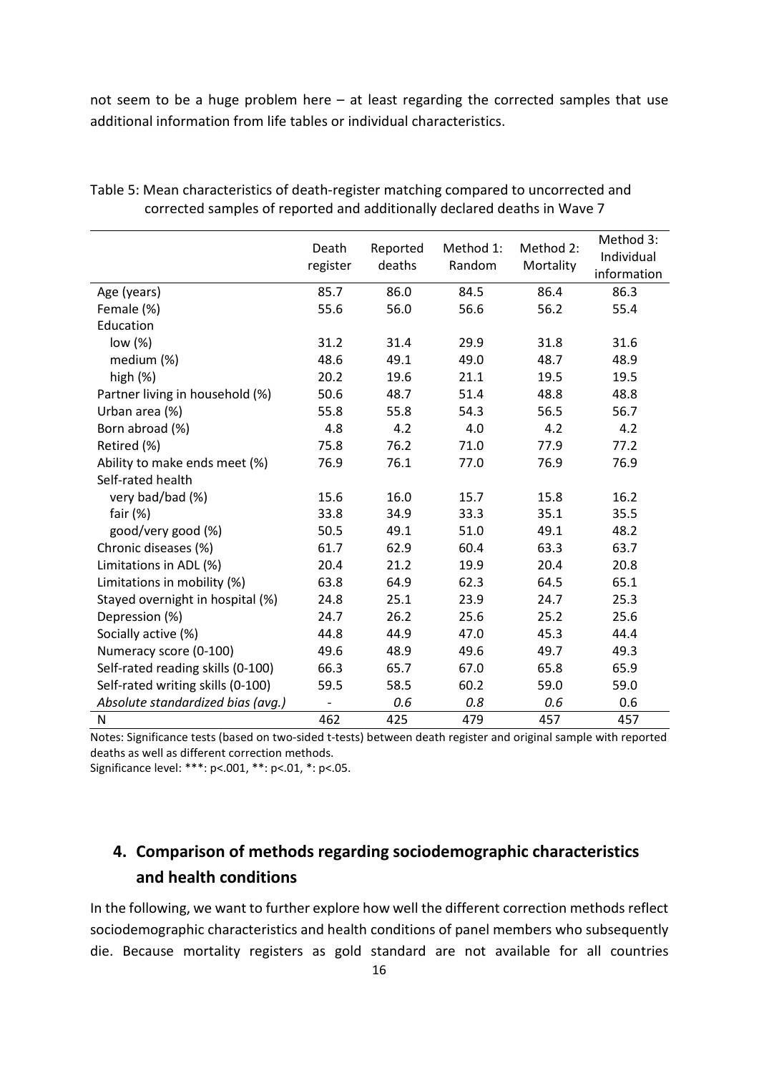not seem to be a huge problem here – at least regarding the corrected samples that use additional information from life tables or individual characteristics.

|                                   | Death<br>register | Reported<br>deaths | Method 1:<br>Random | Method 2:<br>Mortality | Method 3:<br>Individual<br>information |
|-----------------------------------|-------------------|--------------------|---------------------|------------------------|----------------------------------------|
| Age (years)                       | 85.7              | 86.0               | 84.5                | 86.4                   | 86.3                                   |
| Female (%)                        | 55.6              | 56.0               | 56.6                | 56.2                   | 55.4                                   |
| Education                         |                   |                    |                     |                        |                                        |
| low (%)                           | 31.2              | 31.4               | 29.9                | 31.8                   | 31.6                                   |
| medium (%)                        | 48.6              | 49.1               | 49.0                | 48.7                   | 48.9                                   |
| high $(\%)$                       | 20.2              | 19.6               | 21.1                | 19.5                   | 19.5                                   |
| Partner living in household (%)   | 50.6              | 48.7               | 51.4                | 48.8                   | 48.8                                   |
| Urban area (%)                    | 55.8              | 55.8               | 54.3                | 56.5                   | 56.7                                   |
| Born abroad (%)                   | 4.8               | 4.2                | 4.0                 | 4.2                    | 4.2                                    |
| Retired (%)                       | 75.8              | 76.2               | 71.0                | 77.9                   | 77.2                                   |
| Ability to make ends meet (%)     | 76.9              | 76.1               | 77.0                | 76.9                   | 76.9                                   |
| Self-rated health                 |                   |                    |                     |                        |                                        |
| very bad/bad (%)                  | 15.6              | 16.0               | 15.7                | 15.8                   | 16.2                                   |
| fair $(%)$                        | 33.8              | 34.9               | 33.3                | 35.1                   | 35.5                                   |
| good/very good (%)                | 50.5              | 49.1               | 51.0                | 49.1                   | 48.2                                   |
| Chronic diseases (%)              | 61.7              | 62.9               | 60.4                | 63.3                   | 63.7                                   |
| Limitations in ADL (%)            | 20.4              | 21.2               | 19.9                | 20.4                   | 20.8                                   |
| Limitations in mobility (%)       | 63.8              | 64.9               | 62.3                | 64.5                   | 65.1                                   |
| Stayed overnight in hospital (%)  | 24.8              | 25.1               | 23.9                | 24.7                   | 25.3                                   |
| Depression (%)                    | 24.7              | 26.2               | 25.6                | 25.2                   | 25.6                                   |
| Socially active (%)               | 44.8              | 44.9               | 47.0                | 45.3                   | 44.4                                   |
| Numeracy score (0-100)            | 49.6              | 48.9               | 49.6                | 49.7                   | 49.3                                   |
| Self-rated reading skills (0-100) | 66.3              | 65.7               | 67.0                | 65.8                   | 65.9                                   |
| Self-rated writing skills (0-100) | 59.5              | 58.5               | 60.2                | 59.0                   | 59.0                                   |
| Absolute standardized bias (avg.) |                   | 0.6                | 0.8                 | 0.6                    | 0.6                                    |
| N                                 | 462               | 425                | 479                 | 457                    | 457                                    |

<span id="page-16-1"></span>Table 5: Mean characteristics of death-register matching compared to uncorrected and corrected samples of reported and additionally declared deaths in Wave 7

Notes: Significance tests (based on two-sided t-tests) between death register and original sample with reported deaths as well as different correction methods.

Significance level: \*\*\*: p<.001, \*\*: p<.01, \*: p<.05.

# <span id="page-16-0"></span>**4. Comparison of methods regarding sociodemographic characteristics and health conditions**

In the following, we want to further explore how well the different correction methods reflect sociodemographic characteristics and health conditions of panel members who subsequently die. Because mortality registers as gold standard are not available for all countries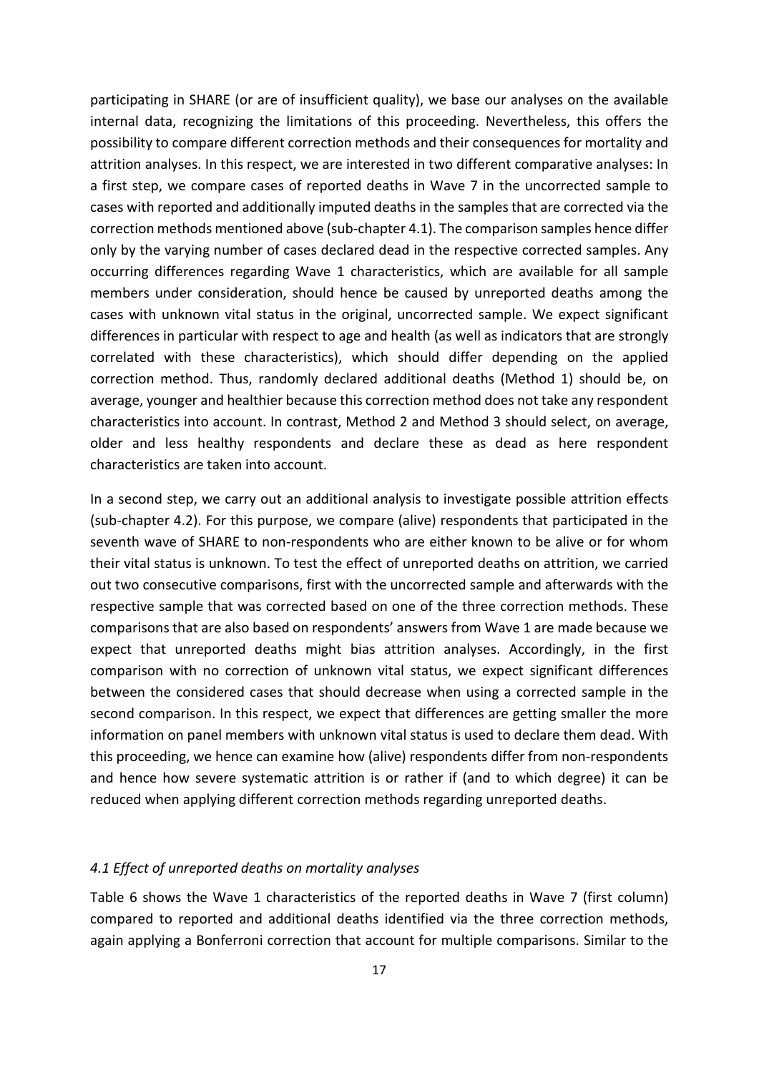participating in SHARE (or are of insufficient quality), we base our analyses on the available internal data, recognizing the limitations of this proceeding. Nevertheless, this offers the possibility to compare different correction methods and their consequences for mortality and attrition analyses. In this respect, we are interested in two different comparative analyses: In a first step, we compare cases of reported deaths in Wave 7 in the uncorrected sample to cases with reported and additionally imputed deaths in the samples that are corrected via the correction methods mentioned above (sub-chapter 4.1). The comparison samples hence differ only by the varying number of cases declared dead in the respective corrected samples. Any occurring differences regarding Wave 1 characteristics, which are available for all sample members under consideration, should hence be caused by unreported deaths among the cases with unknown vital status in the original, uncorrected sample. We expect significant differences in particular with respect to age and health (as well as indicators that are strongly correlated with these characteristics), which should differ depending on the applied correction method. Thus, randomly declared additional deaths (Method 1) should be, on average, younger and healthier because this correction method does not take any respondent characteristics into account. In contrast, Method 2 and Method 3 should select, on average, older and less healthy respondents and declare these as dead as here respondent characteristics are taken into account.

In a second step, we carry out an additional analysis to investigate possible attrition effects (sub-chapter 4.2). For this purpose, we compare (alive) respondents that participated in the seventh wave of SHARE to non-respondents who are either known to be alive or for whom their vital status is unknown. To test the effect of unreported deaths on attrition, we carried out two consecutive comparisons, first with the uncorrected sample and afterwards with the respective sample that was corrected based on one of the three correction methods. These comparisons that are also based on respondents' answers from Wave 1 are made because we expect that unreported deaths might bias attrition analyses. Accordingly, in the first comparison with no correction of unknown vital status, we expect significant differences between the considered cases that should decrease when using a corrected sample in the second comparison. In this respect, we expect that differences are getting smaller the more information on panel members with unknown vital status is used to declare them dead. With this proceeding, we hence can examine how (alive) respondents differ from non-respondents and hence how severe systematic attrition is or rather if (and to which degree) it can be reduced when applying different correction methods regarding unreported deaths.

#### <span id="page-17-0"></span>*4.1 Effect of unreported deaths on mortality analyses*

[Table 6](#page-18-0) shows the Wave 1 characteristics of the reported deaths in Wave 7 (first column) compared to reported and additional deaths identified via the three correction methods, again applying a Bonferroni correction that account for multiple comparisons. Similar to the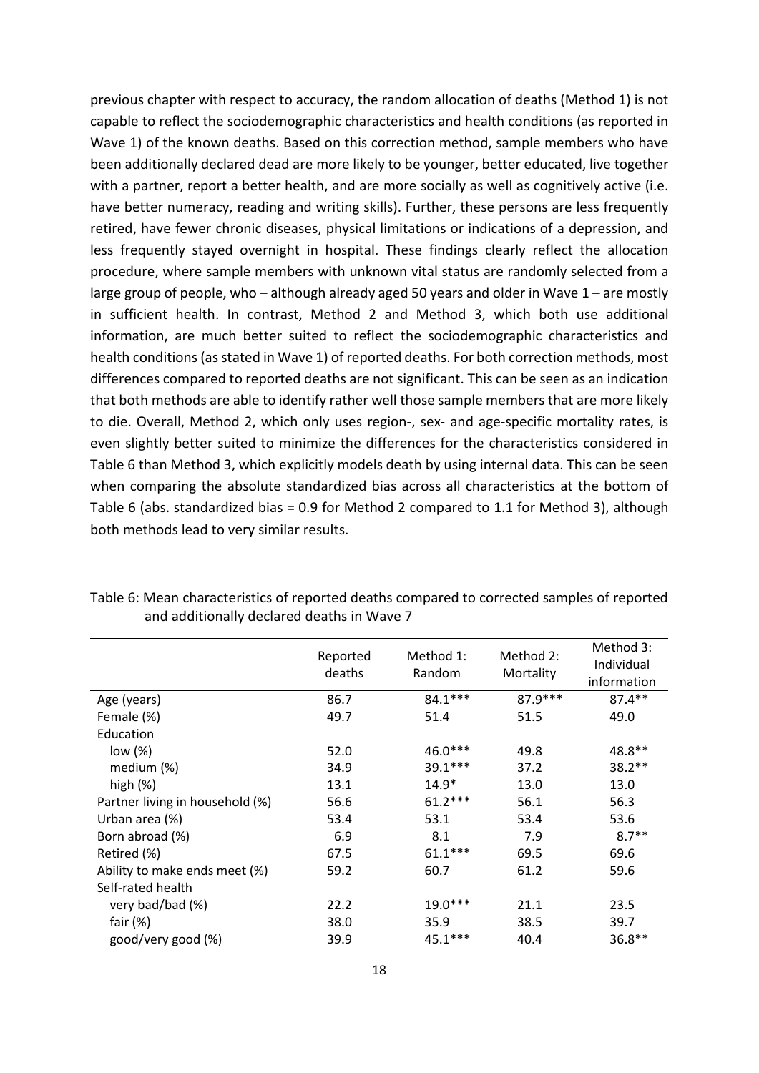previous chapter with respect to accuracy, the random allocation of deaths (Method 1) is not capable to reflect the sociodemographic characteristics and health conditions (as reported in Wave 1) of the known deaths. Based on this correction method, sample members who have been additionally declared dead are more likely to be younger, better educated, live together with a partner, report a better health, and are more socially as well as cognitively active (i.e. have better numeracy, reading and writing skills). Further, these persons are less frequently retired, have fewer chronic diseases, physical limitations or indications of a depression, and less frequently stayed overnight in hospital. These findings clearly reflect the allocation procedure, where sample members with unknown vital status are randomly selected from a large group of people, who – although already aged 50 years and older in Wave 1 – are mostly in sufficient health. In contrast, Method 2 and Method 3, which both use additional information, are much better suited to reflect the sociodemographic characteristics and health conditions (as stated in Wave 1) of reported deaths. For both correction methods, most differences compared to reported deaths are not significant. This can be seen as an indication that both methods are able to identify rather well those sample members that are more likely to die. Overall, Method 2, which only uses region-, sex- and age-specific mortality rates, is even slightly better suited to minimize the differences for the characteristics considered in [Table 6](#page-18-0) than Method 3, which explicitly models death by using internal data. This can be seen when comparing the absolute standardized bias across all characteristics at the bottom of [Table 6](#page-18-0) (abs. standardized bias = 0.9 for Method 2 compared to 1.1 for Method 3), although both methods lead to very similar results.

|                                 | Reported<br>deaths | Method 1:<br>Random | Method 2:<br>Mortality | Method 3:<br>Individual<br>information |
|---------------------------------|--------------------|---------------------|------------------------|----------------------------------------|
| Age (years)                     | 86.7               | 84.1 ***            | $87.9***$              | $87.4***$                              |
| Female (%)                      | 49.7               | 51.4                | 51.5                   | 49.0                                   |
| Education                       |                    |                     |                        |                                        |
| low (%)                         | 52.0               | $46.0***$           | 49.8                   | 48.8**                                 |
| medium (%)                      | 34.9               | 39.1 ***            | 37.2                   | $38.2**$                               |
| high $(\%)$                     | 13.1               | $14.9*$             | 13.0                   | 13.0                                   |
| Partner living in household (%) | 56.6               | $61.2***$           | 56.1                   | 56.3                                   |
| Urban area (%)                  | 53.4               | 53.1                | 53.4                   | 53.6                                   |
| Born abroad (%)                 | 6.9                | 8.1                 | 7.9                    | $8.7**$                                |
| Retired (%)                     | 67.5               | $61.1***$           | 69.5                   | 69.6                                   |
| Ability to make ends meet (%)   | 59.2               | 60.7                | 61.2                   | 59.6                                   |
| Self-rated health               |                    |                     |                        |                                        |
| very bad/bad (%)                | 22.2               | $19.0***$           | 21.1                   | 23.5                                   |
| fair $(\%)$                     | 38.0               | 35.9                | 38.5                   | 39.7                                   |
| good/very good (%)              | 39.9               | $45.1***$           | 40.4                   | $36.8**$                               |

<span id="page-18-0"></span>Table 6: Mean characteristics of reported deaths compared to corrected samples of reported and additionally declared deaths in Wave 7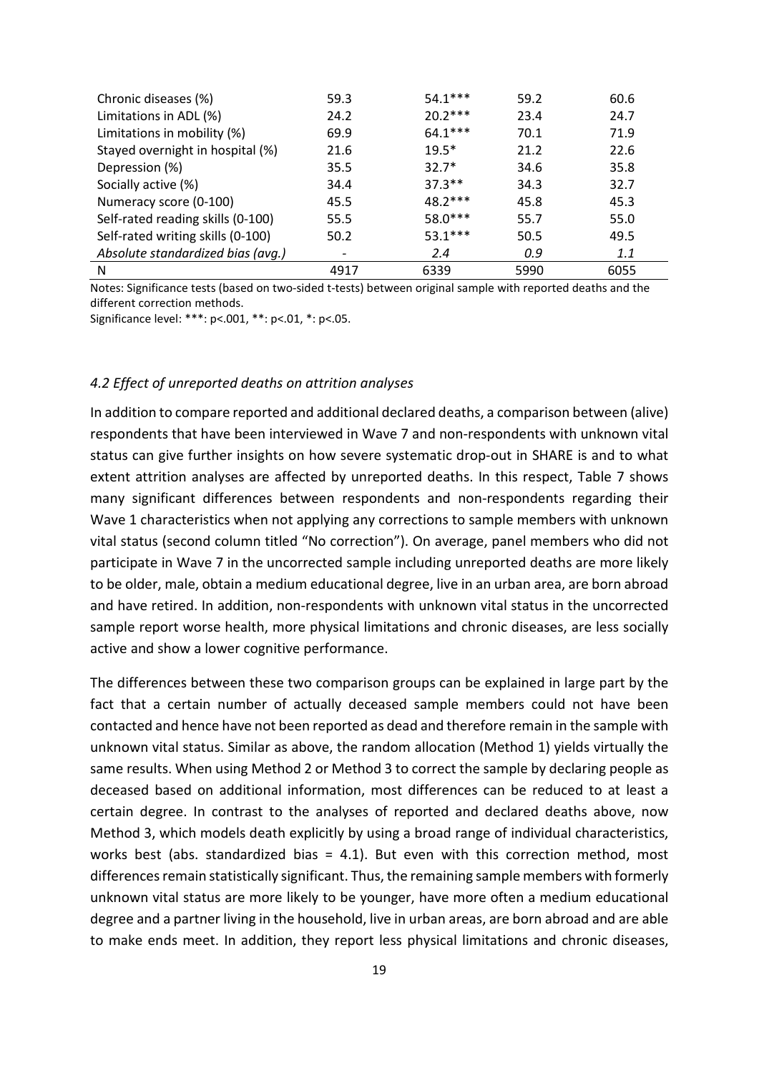| Chronic diseases (%)              | 59.3 | $54.1***$ | 59.2 | 60.6 |
|-----------------------------------|------|-----------|------|------|
| Limitations in ADL (%)            | 24.2 | $20.2***$ | 23.4 | 24.7 |
| Limitations in mobility (%)       | 69.9 | $64.1***$ | 70.1 | 71.9 |
| Stayed overnight in hospital (%)  | 21.6 | $19.5*$   | 21.2 | 22.6 |
| Depression (%)                    | 35.5 | $32.7*$   | 34.6 | 35.8 |
| Socially active (%)               | 34.4 | $37.3**$  | 34.3 | 32.7 |
| Numeracy score (0-100)            | 45.5 | $48.2***$ | 45.8 | 45.3 |
| Self-rated reading skills (0-100) | 55.5 | $58.0***$ | 55.7 | 55.0 |
| Self-rated writing skills (0-100) | 50.2 | $53.1***$ | 50.5 | 49.5 |
| Absolute standardized bias (avg.) |      | 2.4       | 0.9  | 1.1  |
| N                                 | 4917 | 6339      | 5990 | 6055 |

Notes: Significance tests (based on two-sided t-tests) between original sample with reported deaths and the different correction methods.

Significance level: \*\*\*: p<.001, \*\*: p<.01, \*: p<.05.

### <span id="page-19-0"></span>*4.2 Effect of unreported deaths on attrition analyses*

In addition to compare reported and additional declared deaths, a comparison between (alive) respondents that have been interviewed in Wave 7 and non-respondents with unknown vital status can give further insights on how severe systematic drop-out in SHARE is and to what extent attrition analyses are affected by unreported deaths. In this respect, [Table 7](#page-20-0) shows many significant differences between respondents and non-respondents regarding their Wave 1 characteristics when not applying any corrections to sample members with unknown vital status (second column titled "No correction"). On average, panel members who did not participate in Wave 7 in the uncorrected sample including unreported deaths are more likely to be older, male, obtain a medium educational degree, live in an urban area, are born abroad and have retired. In addition, non-respondents with unknown vital status in the uncorrected sample report worse health, more physical limitations and chronic diseases, are less socially active and show a lower cognitive performance.

The differences between these two comparison groups can be explained in large part by the fact that a certain number of actually deceased sample members could not have been contacted and hence have not been reported as dead and therefore remain in the sample with unknown vital status. Similar as above, the random allocation (Method 1) yields virtually the same results. When using Method 2 or Method 3 to correct the sample by declaring people as deceased based on additional information, most differences can be reduced to at least a certain degree. In contrast to the analyses of reported and declared deaths above, now Method 3, which models death explicitly by using a broad range of individual characteristics, works best (abs. standardized bias = 4.1). But even with this correction method, most differences remain statistically significant. Thus, the remaining sample members with formerly unknown vital status are more likely to be younger, have more often a medium educational degree and a partner living in the household, live in urban areas, are born abroad and are able to make ends meet. In addition, they report less physical limitations and chronic diseases,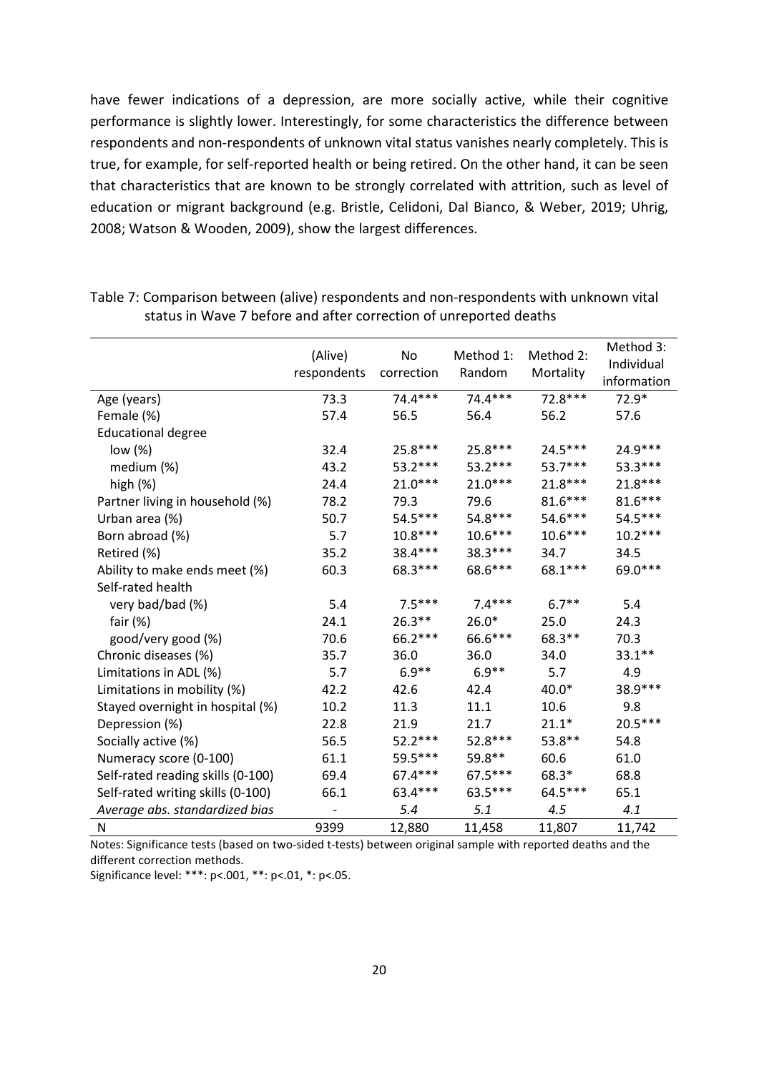have fewer indications of a depression, are more socially active, while their cognitive performance is slightly lower. Interestingly, for some characteristics the difference between respondents and non-respondents of unknown vital status vanishes nearly completely. This is true, for example, for self-reported health or being retired. On the other hand, it can be seen that characteristics that are known to be strongly correlated with attrition, such as level of education or migrant background (e.g. [Bristle, Celidoni, Dal Bianco, & Weber, 2019;](#page-24-19) [Uhrig,](#page-25-3)  [2008;](#page-25-3) [Watson & Wooden, 2009\)](#page-25-4), show the largest differences.

|                                   | (Alive)<br>respondents | No<br>correction | Method 1:<br>Random | Method 2:<br>Mortality | Method 3:<br>Individual<br>information |
|-----------------------------------|------------------------|------------------|---------------------|------------------------|----------------------------------------|
| Age (years)                       | 73.3                   | $74.4***$        | $74.4***$           | $72.8***$              | $72.9*$                                |
| Female (%)                        | 57.4                   | 56.5             | 56.4                | 56.2                   | 57.6                                   |
| <b>Educational degree</b>         |                        |                  |                     |                        |                                        |
| low $(\%)$                        | 32.4                   | 25.8 ***         | $25.8***$           | $24.5***$              | $24.9***$                              |
| medium (%)                        | 43.2                   | $53.2***$        | $53.2***$           | 53.7***                | $53.3***$                              |
| high (%)                          | 24.4                   | $21.0***$        | $21.0***$           | $21.8***$              | 21.8***                                |
| Partner living in household (%)   | 78.2                   | 79.3             | 79.6                | $81.6***$              | 81.6***                                |
| Urban area (%)                    | 50.7                   | $54.5***$        | 54.8***             | 54.6***                | 54.5***                                |
| Born abroad (%)                   | 5.7                    | $10.8***$        | $10.6***$           | $10.6***$              | $10.2***$                              |
| Retired (%)                       | 35.2                   | 38.4***          | 38.3 ***            | 34.7                   | 34.5                                   |
| Ability to make ends meet (%)     | 60.3                   | 68.3***          | 68.6***             | 68.1 ***               | 69.0***                                |
| Self-rated health                 |                        |                  |                     |                        |                                        |
| very bad/bad (%)                  | 5.4                    | $7.5***$         | $7.4***$            | $6.7**$                | 5.4                                    |
| fair $(\%)$                       | 24.1                   | $26.3**$         | $26.0*$             | 25.0                   | 24.3                                   |
| good/very good (%)                | 70.6                   | $66.2***$        | 66.6***             | $68.3**$               | 70.3                                   |
| Chronic diseases (%)              | 35.7                   | 36.0             | 36.0                | 34.0                   | $33.1***$                              |
| Limitations in ADL (%)            | 5.7                    | $6.9**$          | $6.9**$             | 5.7                    | 4.9                                    |
| Limitations in mobility (%)       | 42.2                   | 42.6             | 42.4                | 40.0*                  | 38.9 ***                               |
| Stayed overnight in hospital (%)  | 10.2                   | 11.3             | 11.1                | 10.6                   | 9.8                                    |
| Depression (%)                    | 22.8                   | 21.9             | 21.7                | $21.1*$                | 20.5***                                |
| Socially active (%)               | 56.5                   | $52.2***$        | $52.8***$           | 53.8**                 | 54.8                                   |
| Numeracy score (0-100)            | 61.1                   | 59.5***          | 59.8**              | 60.6                   | 61.0                                   |
| Self-rated reading skills (0-100) | 69.4                   | 67.4 ***         | $67.5***$           | 68.3*                  | 68.8                                   |
| Self-rated writing skills (0-100) | 66.1                   | 63.4***          | 63.5***             | 64.5***                | 65.1                                   |
| Average abs. standardized bias    |                        | 5.4              | 5.1                 | 4.5                    | 4.1                                    |
| N                                 | 9399                   | 12,880           | 11,458              | 11,807                 | 11,742                                 |

<span id="page-20-0"></span>Table 7: Comparison between (alive) respondents and non-respondents with unknown vital status in Wave 7 before and after correction of unreported deaths

Notes: Significance tests (based on two-sided t-tests) between original sample with reported deaths and the different correction methods.

Significance level: \*\*\*: p<.001, \*\*: p<.01, \*: p<.05.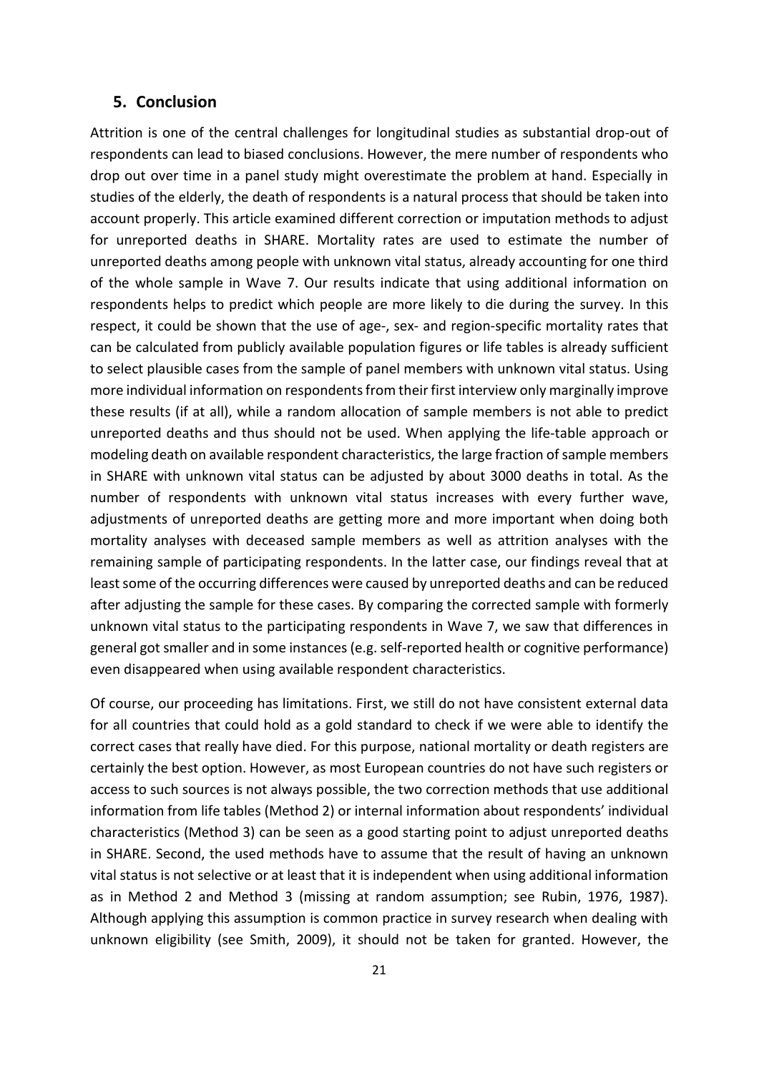## <span id="page-21-0"></span>**5. Conclusion**

Attrition is one of the central challenges for longitudinal studies as substantial drop-out of respondents can lead to biased conclusions. However, the mere number of respondents who drop out over time in a panel study might overestimate the problem at hand. Especially in studies of the elderly, the death of respondents is a natural process that should be taken into account properly. This article examined different correction or imputation methods to adjust for unreported deaths in SHARE. Mortality rates are used to estimate the number of unreported deaths among people with unknown vital status, already accounting for one third of the whole sample in Wave 7. Our results indicate that using additional information on respondents helps to predict which people are more likely to die during the survey. In this respect, it could be shown that the use of age-, sex- and region-specific mortality rates that can be calculated from publicly available population figures or life tables is already sufficient to select plausible cases from the sample of panel members with unknown vital status. Using more individual information on respondents from their first interview only marginally improve these results (if at all), while a random allocation of sample members is not able to predict unreported deaths and thus should not be used. When applying the life-table approach or modeling death on available respondent characteristics, the large fraction of sample members in SHARE with unknown vital status can be adjusted by about 3000 deaths in total. As the number of respondents with unknown vital status increases with every further wave, adjustments of unreported deaths are getting more and more important when doing both mortality analyses with deceased sample members as well as attrition analyses with the remaining sample of participating respondents. In the latter case, our findings reveal that at least some of the occurring differences were caused by unreported deaths and can be reduced after adjusting the sample for these cases. By comparing the corrected sample with formerly unknown vital status to the participating respondents in Wave 7, we saw that differences in general got smaller and in some instances (e.g. self-reported health or cognitive performance) even disappeared when using available respondent characteristics.

Of course, our proceeding has limitations. First, we still do not have consistent external data for all countries that could hold as a gold standard to check if we were able to identify the correct cases that really have died. For this purpose, national mortality or death registers are certainly the best option. However, as most European countries do not have such registers or access to such sources is not always possible, the two correction methods that use additional information from life tables (Method 2) or internal information about respondents' individual characteristics (Method 3) can be seen as a good starting point to adjust unreported deaths in SHARE. Second, the used methods have to assume that the result of having an unknown vital status is not selective or at least that it is independent when using additional information as in Method 2 and Method 3 (missing at random assumption; see [Rubin, 1976,](#page-24-10) [1987\)](#page-24-11). Although applying this assumption is common practice in survey research when dealing with unknown eligibility [\(see Smith, 2009\)](#page-25-5), it should not be taken for granted. However, the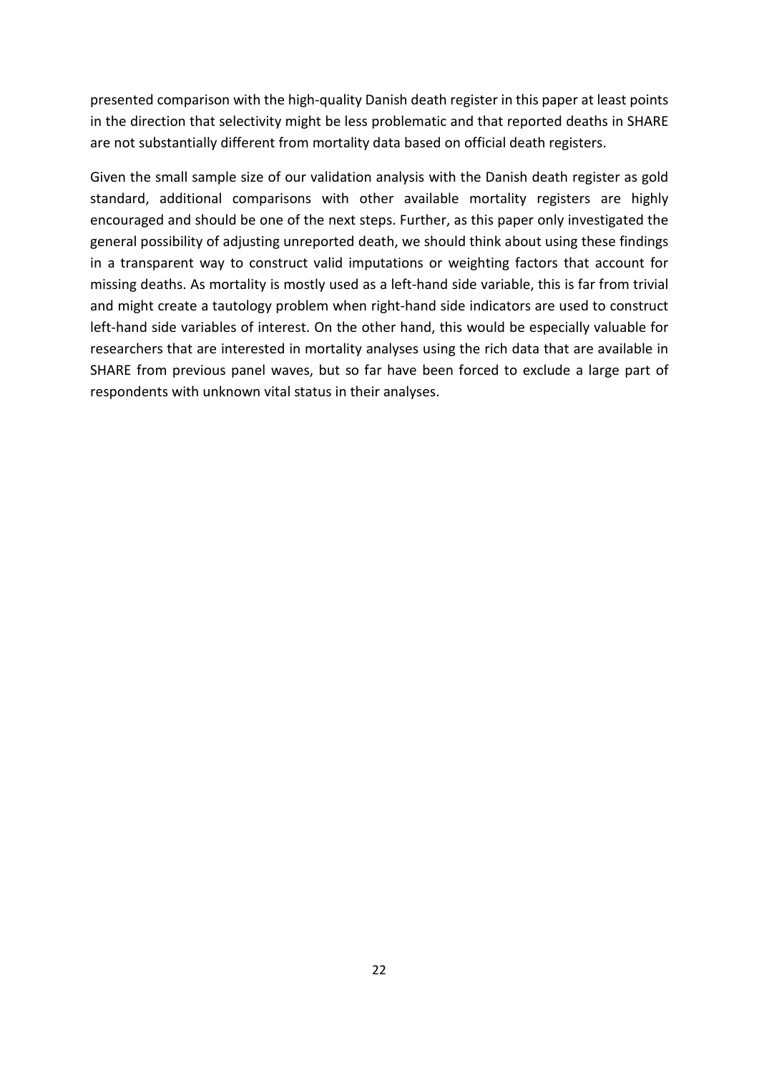presented comparison with the high-quality Danish death register in this paper at least points in the direction that selectivity might be less problematic and that reported deaths in SHARE are not substantially different from mortality data based on official death registers.

Given the small sample size of our validation analysis with the Danish death register as gold standard, additional comparisons with other available mortality registers are highly encouraged and should be one of the next steps. Further, as this paper only investigated the general possibility of adjusting unreported death, we should think about using these findings in a transparent way to construct valid imputations or weighting factors that account for missing deaths. As mortality is mostly used as a left-hand side variable, this is far from trivial and might create a tautology problem when right-hand side indicators are used to construct left-hand side variables of interest. On the other hand, this would be especially valuable for researchers that are interested in mortality analyses using the rich data that are available in SHARE from previous panel waves, but so far have been forced to exclude a large part of respondents with unknown vital status in their analyses.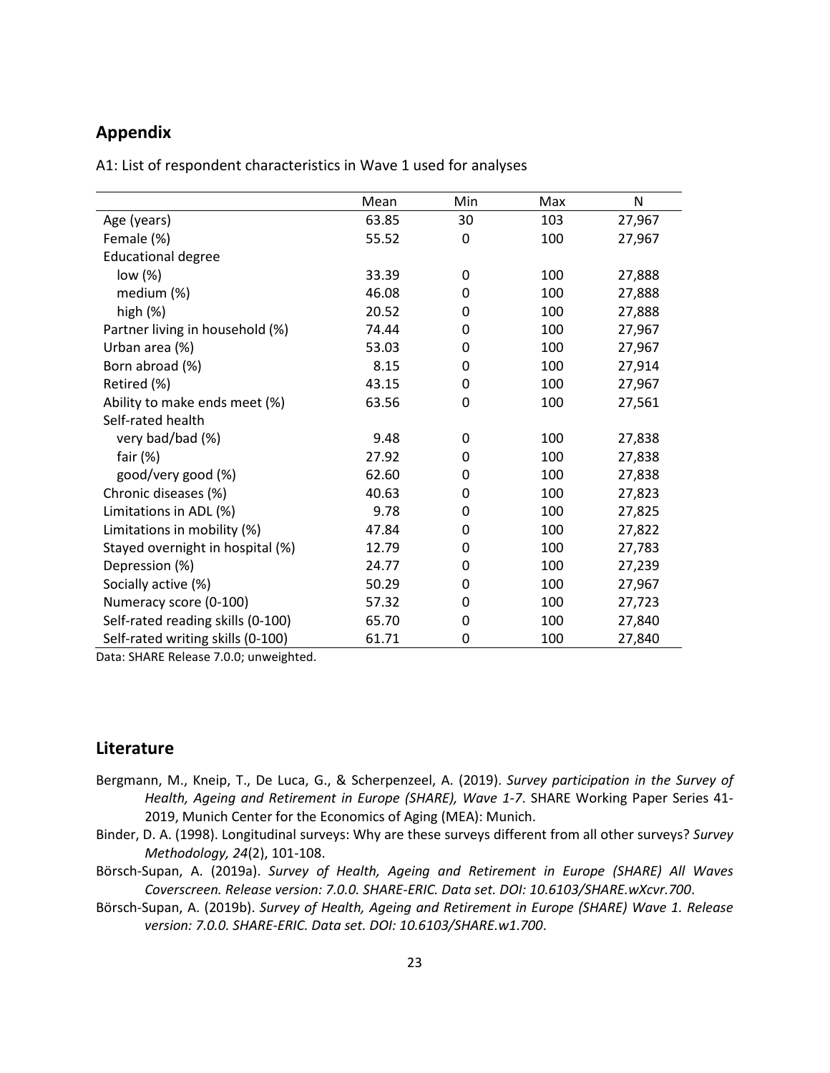# **Appendix**

<span id="page-23-0"></span>A1: List of respondent characteristics in Wave 1 used for analyses

|                                   | Mean  | Min | Max | N      |
|-----------------------------------|-------|-----|-----|--------|
| Age (years)                       | 63.85 | 30  | 103 | 27,967 |
| Female (%)                        | 55.52 | 0   | 100 | 27,967 |
| <b>Educational degree</b>         |       |     |     |        |
| low (%)                           | 33.39 | 0   | 100 | 27,888 |
| medium (%)                        | 46.08 | 0   | 100 | 27,888 |
| high $(\%)$                       | 20.52 | 0   | 100 | 27,888 |
| Partner living in household (%)   | 74.44 | 0   | 100 | 27,967 |
| Urban area (%)                    | 53.03 | 0   | 100 | 27,967 |
| Born abroad (%)                   | 8.15  | 0   | 100 | 27,914 |
| Retired (%)                       | 43.15 | 0   | 100 | 27,967 |
| Ability to make ends meet (%)     | 63.56 | 0   | 100 | 27,561 |
| Self-rated health                 |       |     |     |        |
| very bad/bad (%)                  | 9.48  | 0   | 100 | 27,838 |
| fair $(%)$                        | 27.92 | 0   | 100 | 27,838 |
| good/very good (%)                | 62.60 | 0   | 100 | 27,838 |
| Chronic diseases (%)              | 40.63 | 0   | 100 | 27,823 |
| Limitations in ADL (%)            | 9.78  | 0   | 100 | 27,825 |
| Limitations in mobility (%)       | 47.84 | 0   | 100 | 27,822 |
| Stayed overnight in hospital (%)  | 12.79 | 0   | 100 | 27,783 |
| Depression (%)                    | 24.77 | 0   | 100 | 27,239 |
| Socially active (%)               | 50.29 | 0   | 100 | 27,967 |
| Numeracy score (0-100)            | 57.32 | 0   | 100 | 27,723 |
| Self-rated reading skills (0-100) | 65.70 | 0   | 100 | 27,840 |
| Self-rated writing skills (0-100) | 61.71 | 0   | 100 | 27,840 |

Data: SHARE Release 7.0.0; unweighted.

## **Literature**

- <span id="page-23-1"></span>Bergmann, M., Kneip, T., De Luca, G., & Scherpenzeel, A. (2019). *Survey participation in the Survey of Health, Ageing and Retirement in Europe (SHARE), Wave 1-7*. SHARE Working Paper Series 41- 2019, Munich Center for the Economics of Aging (MEA): Munich.
- <span id="page-23-3"></span>Binder, D. A. (1998). Longitudinal surveys: Why are these surveys different from all other surveys? *Survey Methodology, 24*(2), 101-108.
- Börsch-Supan, A. (2019a). *Survey of Health, Ageing and Retirement in Europe (SHARE) All Waves Coverscreen. Release version: 7.0.0. SHARE-ERIC. Data set. DOI: 10.6103/SHARE.wXcvr.700*.
- <span id="page-23-5"></span><span id="page-23-4"></span><span id="page-23-2"></span>Börsch-Supan, A. (2019b). *Survey of Health, Ageing and Retirement in Europe (SHARE) Wave 1. Release version: 7.0.0. SHARE-ERIC. Data set. DOI: 10.6103/SHARE.w1.700*.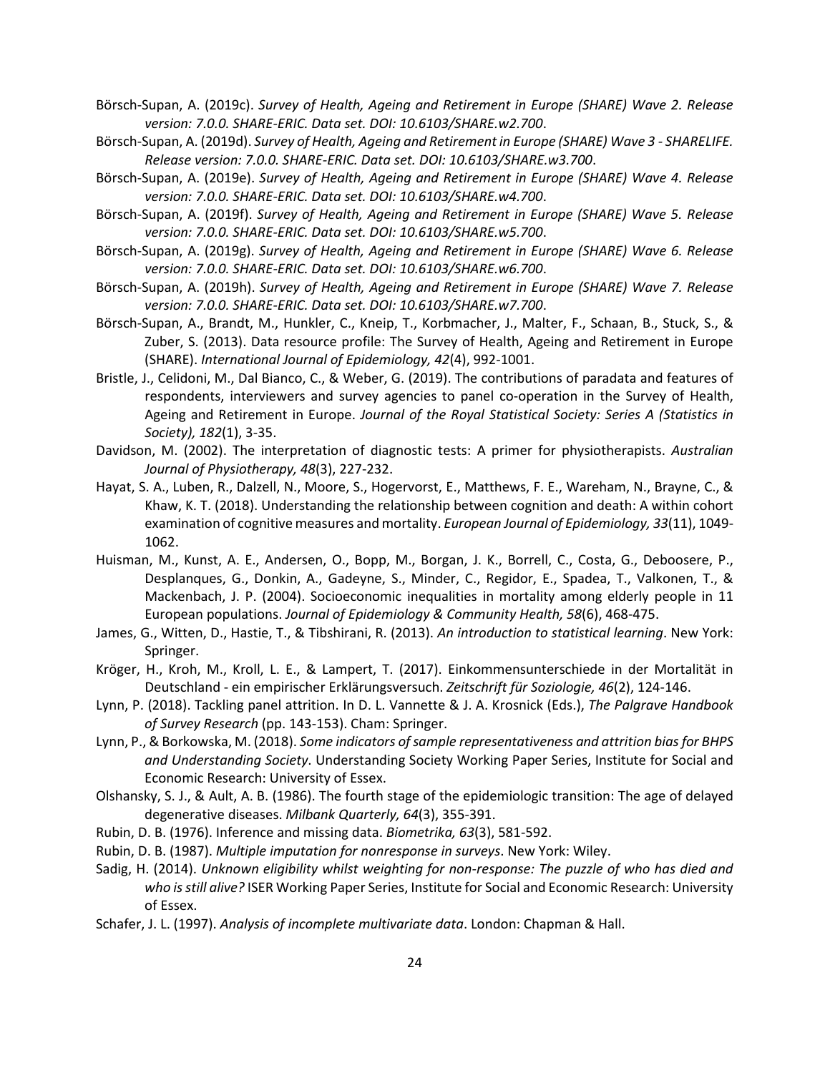Börsch-Supan, A. (2019c). *Survey of Health, Ageing and Retirement in Europe (SHARE) Wave 2. Release version: 7.0.0. SHARE-ERIC. Data set. DOI: 10.6103/SHARE.w2.700*.

- Börsch-Supan, A. (2019d). *Survey of Health, Ageing and Retirement in Europe (SHARE) Wave 3 - SHARELIFE. Release version: 7.0.0. SHARE-ERIC. Data set. DOI: 10.6103/SHARE.w3.700*.
- <span id="page-24-4"></span>Börsch-Supan, A. (2019e). *Survey of Health, Ageing and Retirement in Europe (SHARE) Wave 4. Release version: 7.0.0. SHARE-ERIC. Data set. DOI: 10.6103/SHARE.w4.700*.
- <span id="page-24-5"></span>Börsch-Supan, A. (2019f). *Survey of Health, Ageing and Retirement in Europe (SHARE) Wave 5. Release version: 7.0.0. SHARE-ERIC. Data set. DOI: 10.6103/SHARE.w5.700*.
- <span id="page-24-6"></span>Börsch-Supan, A. (2019g). *Survey of Health, Ageing and Retirement in Europe (SHARE) Wave 6. Release version: 7.0.0. SHARE-ERIC. Data set. DOI: 10.6103/SHARE.w6.700*.
- <span id="page-24-7"></span>Börsch-Supan, A. (2019h). *Survey of Health, Ageing and Retirement in Europe (SHARE) Wave 7. Release version: 7.0.0. SHARE-ERIC. Data set. DOI: 10.6103/SHARE.w7.700*.
- <span id="page-24-8"></span>Börsch-Supan, A., Brandt, M., Hunkler, C., Kneip, T., Korbmacher, J., Malter, F., Schaan, B., Stuck, S., & Zuber, S. (2013). Data resource profile: The Survey of Health, Ageing and Retirement in Europe (SHARE). *International Journal of Epidemiology, 42*(4), 992-1001.
- <span id="page-24-9"></span><span id="page-24-0"></span>Bristle, J., Celidoni, M., Dal Bianco, C., & Weber, G. (2019). The contributions of paradata and features of respondents, interviewers and survey agencies to panel co-operation in the Survey of Health, Ageing and Retirement in Europe. *Journal of the Royal Statistical Society: Series A (Statistics in Society), 182*(1), 3-35.
- <span id="page-24-19"></span>Davidson, M. (2002). The interpretation of diagnostic tests: A primer for physiotherapists. *Australian Journal of Physiotherapy, 48*(3), 227-232.
- <span id="page-24-17"></span>Hayat, S. A., Luben, R., Dalzell, N., Moore, S., Hogervorst, E., Matthews, F. E., Wareham, N., Brayne, C., & Khaw, K. T. (2018). Understanding the relationship between cognition and death: A within cohort examination of cognitive measures and mortality. *European Journal of Epidemiology, 33*(11), 1049- 1062.
- <span id="page-24-12"></span>Huisman, M., Kunst, A. E., Andersen, O., Bopp, M., Borgan, J. K., Borrell, C., Costa, G., Deboosere, P., Desplanques, G., Donkin, A., Gadeyne, S., Minder, C., Regidor, E., Spadea, T., Valkonen, T., & Mackenbach, J. P. (2004). Socioeconomic inequalities in mortality among elderly people in 11 European populations. *Journal of Epidemiology & Community Health, 58*(6), 468-475.
- <span id="page-24-13"></span>James, G., Witten, D., Hastie, T., & Tibshirani, R. (2013). *An introduction to statistical learning*. New York: Springer.
- Kröger, H., Kroh, M., Kroll, L. E., & Lampert, T. (2017). Einkommensunterschiede in der Mortalität in Deutschland - ein empirischer Erklärungsversuch. *Zeitschrift für Soziologie, 46*(2), 124-146.
- <span id="page-24-18"></span>Lynn, P. (2018). Tackling panel attrition. In D. L. Vannette & J. A. Krosnick (Eds.), *The Palgrave Handbook of Survey Research* (pp. 143-153). Cham: Springer.
- <span id="page-24-14"></span>Lynn, P., & Borkowska, M. (2018). *Some indicators of sample representativeness and attrition bias for BHPS and Understanding Society*. Understanding Society Working Paper Series, Institute for Social and Economic Research: University of Essex.
- <span id="page-24-3"></span><span id="page-24-1"></span>Olshansky, S. J., & Ault, A. B. (1986). The fourth stage of the epidemiologic transition: The age of delayed degenerative diseases. *Milbank Quarterly, 64*(3), 355-391.
- Rubin, D. B. (1976). Inference and missing data. *Biometrika, 63*(3), 581-592.
- Rubin, D. B. (1987). *Multiple imputation for nonresponse in surveys*. New York: Wiley.
- <span id="page-24-15"></span>Sadig, H. (2014). *Unknown eligibility whilst weighting for non-response: The puzzle of who has died and who is still alive?* ISER Working Paper Series, Institute for Social and Economic Research: University of Essex.
- <span id="page-24-16"></span><span id="page-24-11"></span><span id="page-24-10"></span><span id="page-24-2"></span>Schafer, J. L. (1997). *Analysis of incomplete multivariate data*. London: Chapman & Hall.